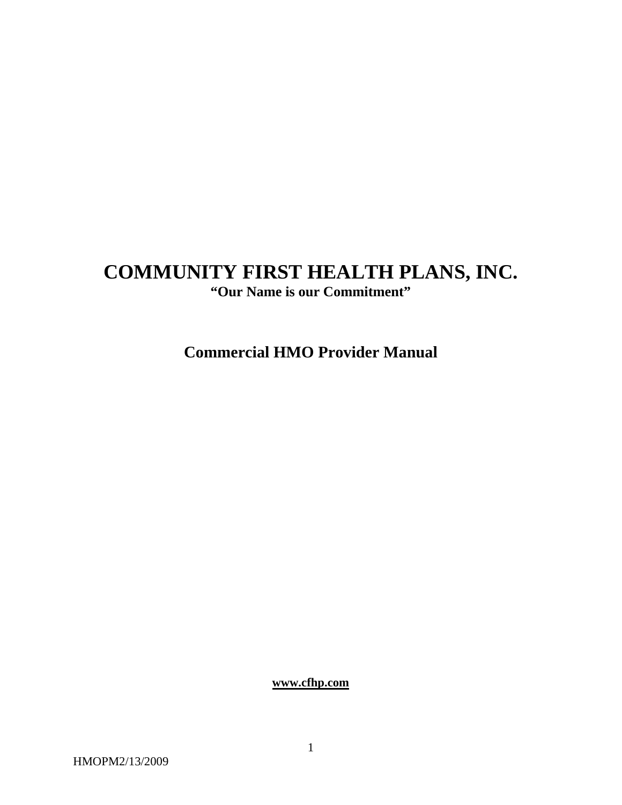# **COMMUNITY FIRST HEALTH PLANS, INC.**

**"Our Name is our Commitment"** 

**Commercial HMO Provider Manual** 

**[www.cfhp.com](http://www.cfhp.com/)**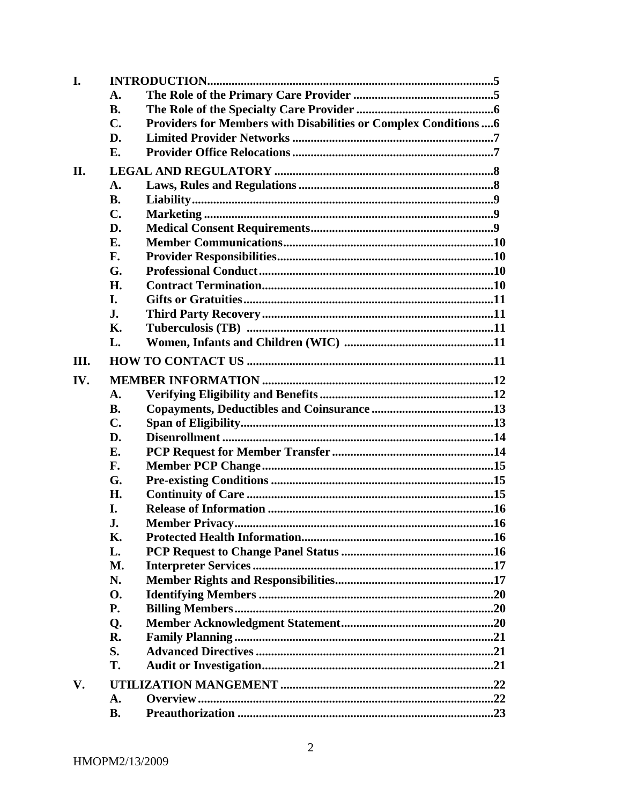| I.   |                                                                                    |  |
|------|------------------------------------------------------------------------------------|--|
|      | A.                                                                                 |  |
|      | <b>B.</b>                                                                          |  |
|      | Providers for Members with Disabilities or Complex Conditions  6<br>$\mathbf{C}$ . |  |
|      | D.                                                                                 |  |
|      | E.                                                                                 |  |
| П.   |                                                                                    |  |
|      | A.                                                                                 |  |
|      | <b>B.</b>                                                                          |  |
|      | $\mathbf{C}$ .                                                                     |  |
|      | D.                                                                                 |  |
|      | E.                                                                                 |  |
|      | F.                                                                                 |  |
|      | G.                                                                                 |  |
|      | <b>H.</b>                                                                          |  |
|      | I.                                                                                 |  |
|      | J.                                                                                 |  |
|      | Κ.                                                                                 |  |
|      | L.                                                                                 |  |
| III. |                                                                                    |  |
| IV.  |                                                                                    |  |
|      | $\mathbf{A}$ .                                                                     |  |
|      | <b>B.</b>                                                                          |  |
|      | $\mathbf{C}$ .                                                                     |  |
|      | D.                                                                                 |  |
|      | E.                                                                                 |  |
|      | F.                                                                                 |  |
|      | G.                                                                                 |  |
|      | Н.                                                                                 |  |
|      | I.                                                                                 |  |
|      | J.                                                                                 |  |
|      | Κ.                                                                                 |  |
|      | L.                                                                                 |  |
|      | M.                                                                                 |  |
|      | N.                                                                                 |  |
|      | <b>O.</b>                                                                          |  |
|      | <b>P.</b>                                                                          |  |
|      | Q.                                                                                 |  |
|      | R.                                                                                 |  |
|      | S.                                                                                 |  |
|      | T.                                                                                 |  |
| V.   |                                                                                    |  |
|      | A.                                                                                 |  |
|      | <b>B.</b>                                                                          |  |
|      |                                                                                    |  |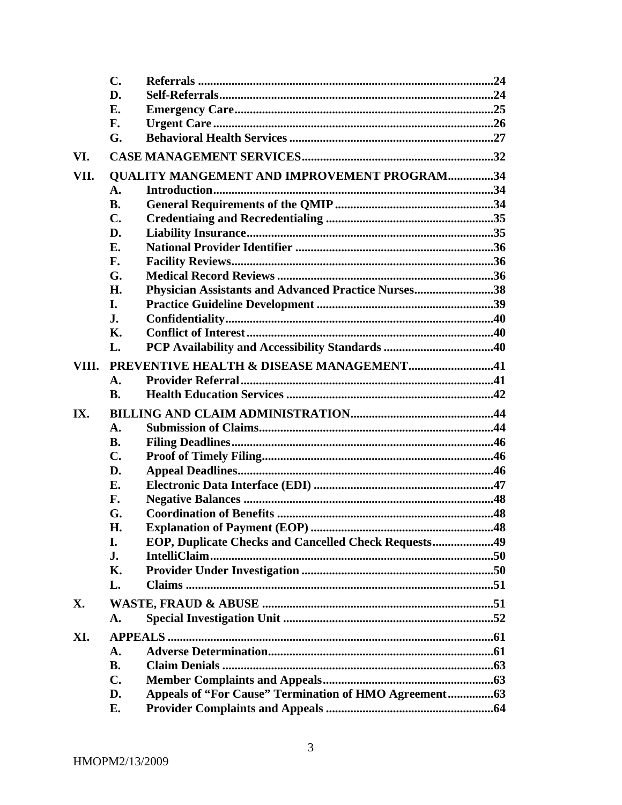|      | $\mathbf{C}$ .                                                    |  |
|------|-------------------------------------------------------------------|--|
|      | D.                                                                |  |
|      | E.                                                                |  |
|      | F.                                                                |  |
|      | G.                                                                |  |
| VI.  |                                                                   |  |
| VII. | <b>QUALITY MANGEMENT AND IMPROVEMENT PROGRAM34</b>                |  |
|      | A.                                                                |  |
|      | <b>B.</b>                                                         |  |
|      | C.                                                                |  |
|      | D.                                                                |  |
|      | Е.                                                                |  |
|      | F.                                                                |  |
|      | G.                                                                |  |
|      | Physician Assistants and Advanced Practice Nurses38<br>Н.         |  |
|      | I.                                                                |  |
|      | J.                                                                |  |
|      | Κ.                                                                |  |
|      | L.                                                                |  |
|      | VIII. PREVENTIVE HEALTH & DISEASE MANAGEMENT41                    |  |
|      | A.                                                                |  |
|      | <b>B.</b>                                                         |  |
| IX.  |                                                                   |  |
|      | $\mathbf{A}$ .                                                    |  |
|      | <b>B.</b>                                                         |  |
|      | C.                                                                |  |
|      | D.                                                                |  |
|      | Е.                                                                |  |
|      | F.                                                                |  |
|      | G.                                                                |  |
|      | Н.                                                                |  |
|      | <b>EOP, Duplicate Checks and Cancelled Check Requests49</b><br>I. |  |
|      | J.                                                                |  |
|      | Κ.                                                                |  |
|      | L.                                                                |  |
| X.   |                                                                   |  |
|      | A.                                                                |  |
| XI.  |                                                                   |  |
|      | A.                                                                |  |
|      | <b>B.</b>                                                         |  |
|      | $\mathbf{C}$ .                                                    |  |
|      | D.                                                                |  |
|      | E.                                                                |  |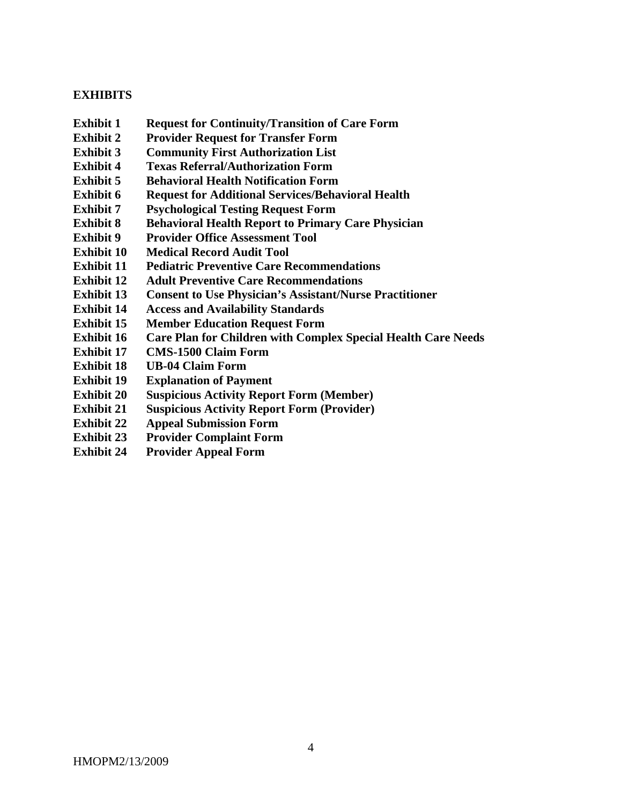### **EXHIBITS**

- **Exhibit 1 Request for Continuity/Transition of Care Form**
- **Exhibit 2 Provider Request for Transfer Form**
- **Exhibit 3 Community First Authorization List**
- **Exhibit 4 Texas Referral/Authorization Form**
- **Exhibit 5 Behavioral Health Notification Form**
- **Exhibit 6 Request for Additional Services/Behavioral Health**
- **Exhibit 7 Psychological Testing Request Form**
- **Exhibit 8 Behavioral Health Report to Primary Care Physician**
- **Exhibit 9** Provider Office Assessment Tool
- **Exhibit 10 Medical Record Audit Tool**
- **Exhibit 11 Pediatric Preventive Care Recommendations**
- **Exhibit 12 Adult Preventive Care Recommendations**
- **Exhibit 13 Consent to Use Physician's Assistant/Nurse Practitioner**
- **Exhibit 14 Access and Availability Standards**
- **Exhibit 15 Member Education Request Form**
- **Exhibit 16 Care Plan for Children with Complex Special Health Care Needs**
- **Exhibit 17 CMS-1500 Claim Form**
- **Exhibit 18 UB-04 Claim Form**
- **Exhibit 19 Explanation of Payment**
- **Exhibit 20 Suspicious Activity Report Form (Member)**
- **Exhibit 21 Suspicious Activity Report Form (Provider)**
- **Exhibit 22 Appeal Submission Form**
- **Exhibit 23 Provider Complaint Form**
- **Exhibit 24 Provider Appeal Form**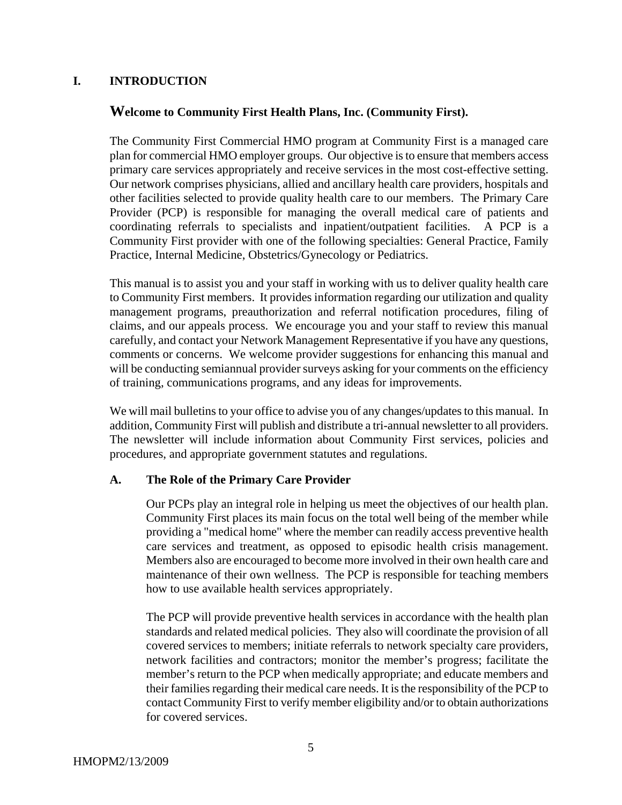### **I. INTRODUCTION**

#### **Welcome to Community First Health Plans, Inc. (Community First).**

The Community First Commercial HMO program at Community First is a managed care plan for commercial HMO employer groups. Our objective is to ensure that members access primary care services appropriately and receive services in the most cost-effective setting. Our network comprises physicians, allied and ancillary health care providers, hospitals and other facilities selected to provide quality health care to our members. The Primary Care Provider (PCP) is responsible for managing the overall medical care of patients and coordinating referrals to specialists and inpatient/outpatient facilities. A PCP is a Community First provider with one of the following specialties: General Practice, Family Practice, Internal Medicine, Obstetrics/Gynecology or Pediatrics.

This manual is to assist you and your staff in working with us to deliver quality health care to Community First members. It provides information regarding our utilization and quality management programs, preauthorization and referral notification procedures, filing of claims, and our appeals process. We encourage you and your staff to review this manual carefully, and contact your Network Management Representative if you have any questions, comments or concerns. We welcome provider suggestions for enhancing this manual and will be conducting semiannual provider surveys asking for your comments on the efficiency of training, communications programs, and any ideas for improvements.

We will mail bulletins to your office to advise you of any changes/updates to this manual. In addition, Community First will publish and distribute a tri-annual newsletter to all providers. The newsletter will include information about Community First services, policies and procedures, and appropriate government statutes and regulations.

#### **A. The Role of the Primary Care Provider**

Our PCPs play an integral role in helping us meet the objectives of our health plan. Community First places its main focus on the total well being of the member while providing a "medical home" where the member can readily access preventive health care services and treatment, as opposed to episodic health crisis management. Members also are encouraged to become more involved in their own health care and maintenance of their own wellness. The PCP is responsible for teaching members how to use available health services appropriately.

The PCP will provide preventive health services in accordance with the health plan standards and related medical policies. They also will coordinate the provision of all covered services to members; initiate referrals to network specialty care providers, network facilities and contractors; monitor the member's progress; facilitate the member's return to the PCP when medically appropriate; and educate members and their families regarding their medical care needs. It is the responsibility of the PCP to contact Community First to verify member eligibility and/or to obtain authorizations for covered services.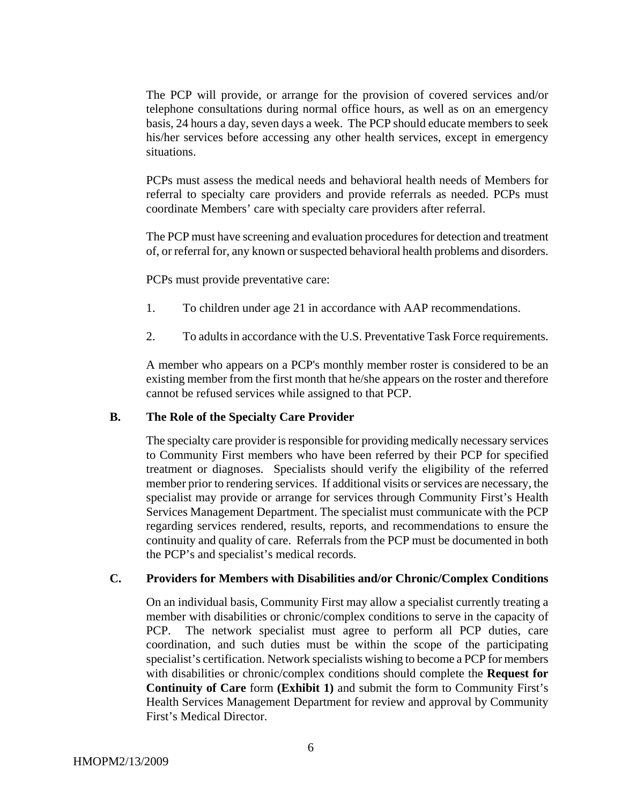The PCP will provide, or arrange for the provision of covered services and/or telephone consultations during normal office hours, as well as on an emergency basis, 24 hours a day, seven days a week. The PCP should educate members to seek his/her services before accessing any other health services, except in emergency situations.

PCPs must assess the medical needs and behavioral health needs of Members for referral to specialty care providers and provide referrals as needed. PCPs must coordinate Members' care with specialty care providers after referral.

The PCP must have screening and evaluation procedures for detection and treatment of, or referral for, any known or suspected behavioral health problems and disorders.

PCPs must provide preventative care:

- 1. To children under age 21 in accordance with AAP recommendations.
- 2. To adults in accordance with the U.S. Preventative Task Force requirements.

A member who appears on a PCP's monthly member roster is considered to be an existing member from the first month that he/she appears on the roster and therefore cannot be refused services while assigned to that PCP.

#### **B. The Role of the Specialty Care Provider**

The specialty care provider is responsible for providing medically necessary services to Community First members who have been referred by their PCP for specified treatment or diagnoses. Specialists should verify the eligibility of the referred member prior to rendering services. If additional visits or services are necessary, the specialist may provide or arrange for services through Community First's Health Services Management Department. The specialist must communicate with the PCP regarding services rendered, results, reports, and recommendations to ensure the continuity and quality of care. Referrals from the PCP must be documented in both the PCP's and specialist's medical records.

#### **C. Providers for Members with Disabilities and/or Chronic/Complex Conditions**

On an individual basis, Community First may allow a specialist currently treating a member with disabilities or chronic/complex conditions to serve in the capacity of PCP. The network specialist must agree to perform all PCP duties, care coordination, and such duties must be within the scope of the participating specialist's certification. Network specialists wishing to become a PCP for members with disabilities or chronic/complex conditions should complete the **Request for Continuity of Care** form **(Exhibit 1)** and submit the form to Community First's Health Services Management Department for review and approval by Community First's Medical Director.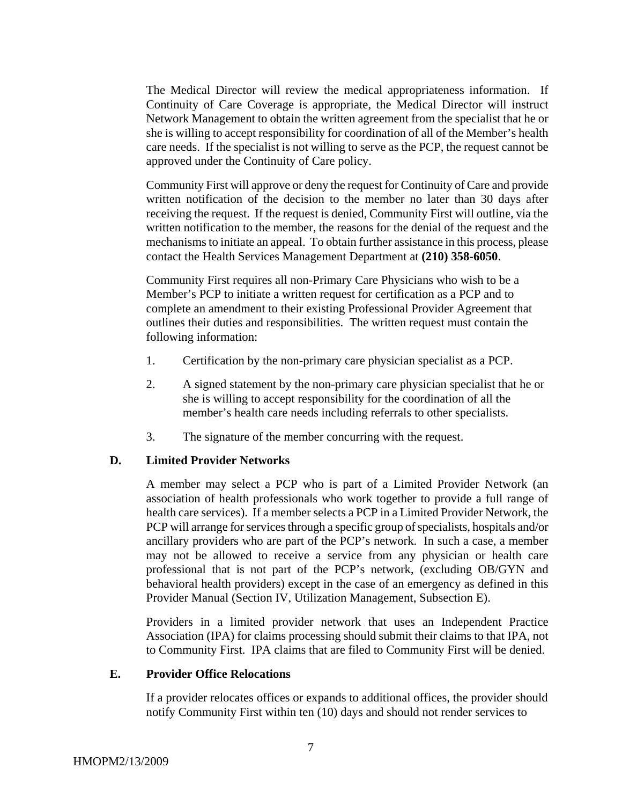The Medical Director will review the medical appropriateness information. If Continuity of Care Coverage is appropriate, the Medical Director will instruct Network Management to obtain the written agreement from the specialist that he or she is willing to accept responsibility for coordination of all of the Member's health care needs. If the specialist is not willing to serve as the PCP, the request cannot be approved under the Continuity of Care policy.

Community First will approve or deny the request for Continuity of Care and provide written notification of the decision to the member no later than 30 days after receiving the request. If the request is denied, Community First will outline, via the written notification to the member, the reasons for the denial of the request and the mechanisms to initiate an appeal. To obtain further assistance in this process, please contact the Health Services Management Department at **(210) 358-6050**.

Community First requires all non-Primary Care Physicians who wish to be a Member's PCP to initiate a written request for certification as a PCP and to complete an amendment to their existing Professional Provider Agreement that outlines their duties and responsibilities. The written request must contain the following information:

- 1. Certification by the non-primary care physician specialist as a PCP.
- 2. A signed statement by the non-primary care physician specialist that he or she is willing to accept responsibility for the coordination of all the member's health care needs including referrals to other specialists.
- 3. The signature of the member concurring with the request.

#### **D. Limited Provider Networks**

A member may select a PCP who is part of a Limited Provider Network (an association of health professionals who work together to provide a full range of health care services). If a member selects a PCP in a Limited Provider Network, the PCP will arrange for services through a specific group of specialists, hospitals and/or ancillary providers who are part of the PCP's network. In such a case, a member may not be allowed to receive a service from any physician or health care professional that is not part of the PCP's network, (excluding OB/GYN and behavioral health providers) except in the case of an emergency as defined in this Provider Manual (Section IV, Utilization Management, Subsection E).

Providers in a limited provider network that uses an Independent Practice Association (IPA) for claims processing should submit their claims to that IPA, not to Community First. IPA claims that are filed to Community First will be denied.

#### **E. Provider Office Relocations**

If a provider relocates offices or expands to additional offices, the provider should notify Community First within ten (10) days and should not render services to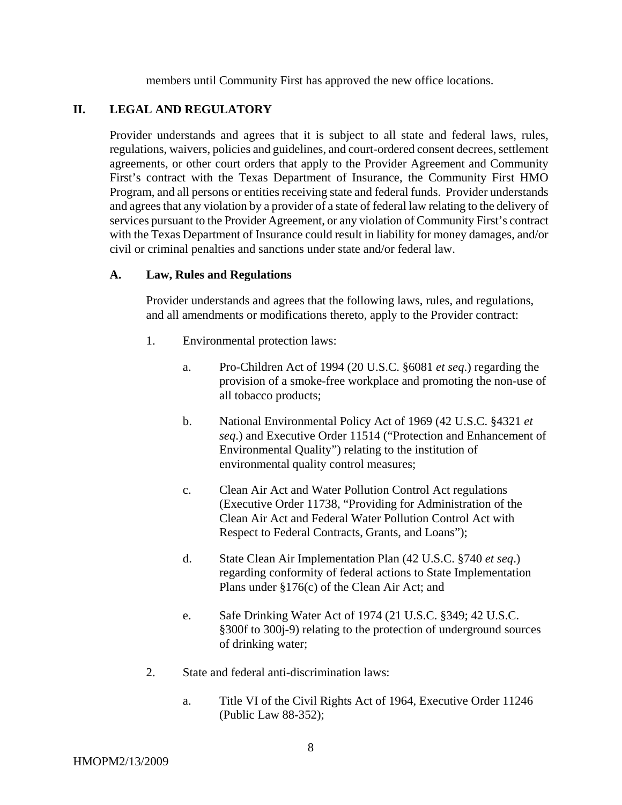members until Community First has approved the new office locations.

### **II. LEGAL AND REGULATORY**

Provider understands and agrees that it is subject to all state and federal laws, rules, regulations, waivers, policies and guidelines, and court-ordered consent decrees, settlement agreements, or other court orders that apply to the Provider Agreement and Community First's contract with the Texas Department of Insurance, the Community First HMO Program, and all persons or entities receiving state and federal funds. Provider understands and agrees that any violation by a provider of a state of federal law relating to the delivery of services pursuant to the Provider Agreement, or any violation of Community First's contract with the Texas Department of Insurance could result in liability for money damages, and/or civil or criminal penalties and sanctions under state and/or federal law.

#### **A. Law, Rules and Regulations**

Provider understands and agrees that the following laws, rules, and regulations, and all amendments or modifications thereto, apply to the Provider contract:

- 1. Environmental protection laws:
	- a. Pro-Children Act of 1994 (20 U.S.C. §6081 *et seq*.) regarding the provision of a smoke-free workplace and promoting the non-use of all tobacco products;
	- b. National Environmental Policy Act of 1969 (42 U.S.C. §4321 *et seq*.) and Executive Order 11514 ("Protection and Enhancement of Environmental Quality") relating to the institution of environmental quality control measures;
	- c. Clean Air Act and Water Pollution Control Act regulations (Executive Order 11738, "Providing for Administration of the Clean Air Act and Federal Water Pollution Control Act with Respect to Federal Contracts, Grants, and Loans");
	- d. State Clean Air Implementation Plan (42 U.S.C. §740 *et seq*.) regarding conformity of federal actions to State Implementation Plans under §176(c) of the Clean Air Act; and
	- e. Safe Drinking Water Act of 1974 (21 U.S.C. §349; 42 U.S.C. §300f to 300j-9) relating to the protection of underground sources of drinking water;
- 2. State and federal anti-discrimination laws:
	- a. Title VI of the Civil Rights Act of 1964, Executive Order 11246 (Public Law 88-352);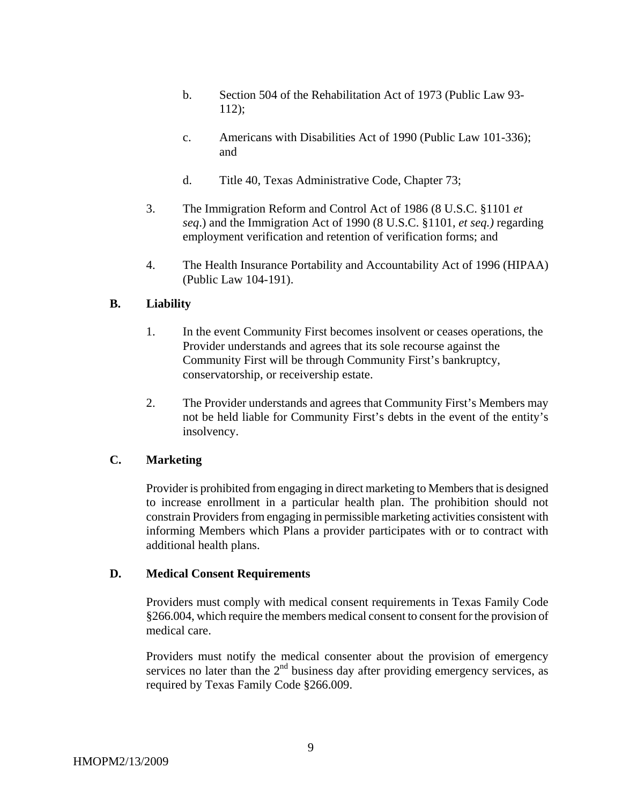- b. Section 504 of the Rehabilitation Act of 1973 (Public Law 93- 112);
- c. Americans with Disabilities Act of 1990 (Public Law 101-336); and
- d. Title 40, Texas Administrative Code, Chapter 73;
- 3. The Immigration Reform and Control Act of 1986 (8 U.S.C. §1101 *et seq*.) and the Immigration Act of 1990 (8 U.S.C. §1101, *et seq.)* regarding employment verification and retention of verification forms; and
- 4. The Health Insurance Portability and Accountability Act of 1996 (HIPAA) (Public Law 104-191).

### **B. Liability**

- 1. In the event Community First becomes insolvent or ceases operations, the Provider understands and agrees that its sole recourse against the Community First will be through Community First's bankruptcy, conservatorship, or receivership estate.
- 2. The Provider understands and agrees that Community First's Members may not be held liable for Community First's debts in the event of the entity's insolvency.

# **C. Marketing**

Provider is prohibited from engaging in direct marketing to Members that is designed to increase enrollment in a particular health plan. The prohibition should not constrain Providers from engaging in permissible marketing activities consistent with informing Members which Plans a provider participates with or to contract with additional health plans.

#### **D. Medical Consent Requirements**

Providers must comply with medical consent requirements in Texas Family Code §266.004, which require the members medical consent to consent for the provision of medical care.

Providers must notify the medical consenter about the provision of emergency services no later than the  $2<sup>nd</sup>$  business day after providing emergency services, as required by Texas Family Code §266.009.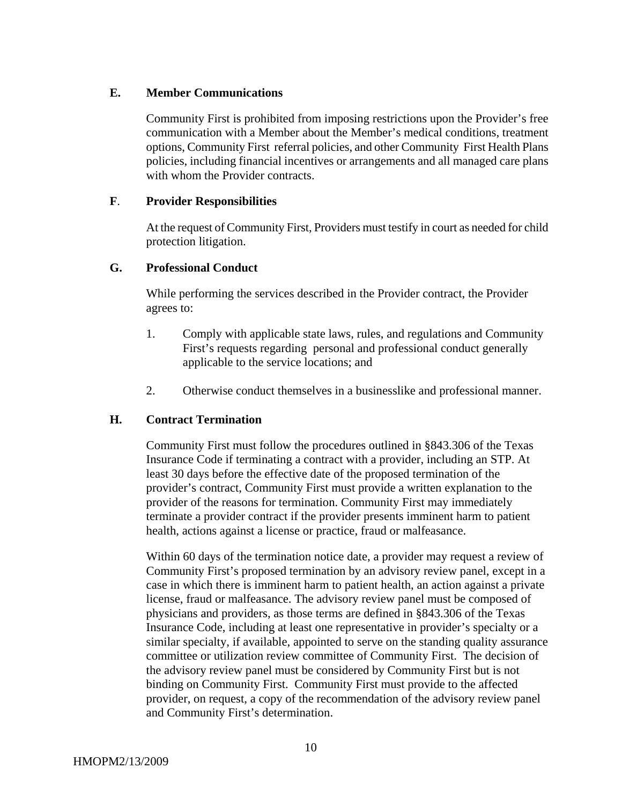### **E. Member Communications**

Community First is prohibited from imposing restrictions upon the Provider's free communication with a Member about the Member's medical conditions, treatment options, Community First referral policies, and other Community First Health Plans policies, including financial incentives or arrangements and all managed care plans with whom the Provider contracts.

### **F**. **Provider Responsibilities**

At the request of Community First, Providers must testify in court as needed for child protection litigation.

### **G. Professional Conduct**

While performing the services described in the Provider contract, the Provider agrees to:

- 1. Comply with applicable state laws, rules, and regulations and Community First's requests regarding personal and professional conduct generally applicable to the service locations; and
- 2. Otherwise conduct themselves in a businesslike and professional manner.

# **H. Contract Termination**

Community First must follow the procedures outlined in §843.306 of the Texas Insurance Code if terminating a contract with a provider, including an STP. At least 30 days before the effective date of the proposed termination of the provider's contract, Community First must provide a written explanation to the provider of the reasons for termination. Community First may immediately terminate a provider contract if the provider presents imminent harm to patient health, actions against a license or practice, fraud or malfeasance.

Within 60 days of the termination notice date, a provider may request a review of Community First's proposed termination by an advisory review panel, except in a case in which there is imminent harm to patient health, an action against a private license, fraud or malfeasance. The advisory review panel must be composed of physicians and providers, as those terms are defined in §843.306 of the Texas Insurance Code, including at least one representative in provider's specialty or a similar specialty, if available, appointed to serve on the standing quality assurance committee or utilization review committee of Community First. The decision of the advisory review panel must be considered by Community First but is not binding on Community First. Community First must provide to the affected provider, on request, a copy of the recommendation of the advisory review panel and Community First's determination.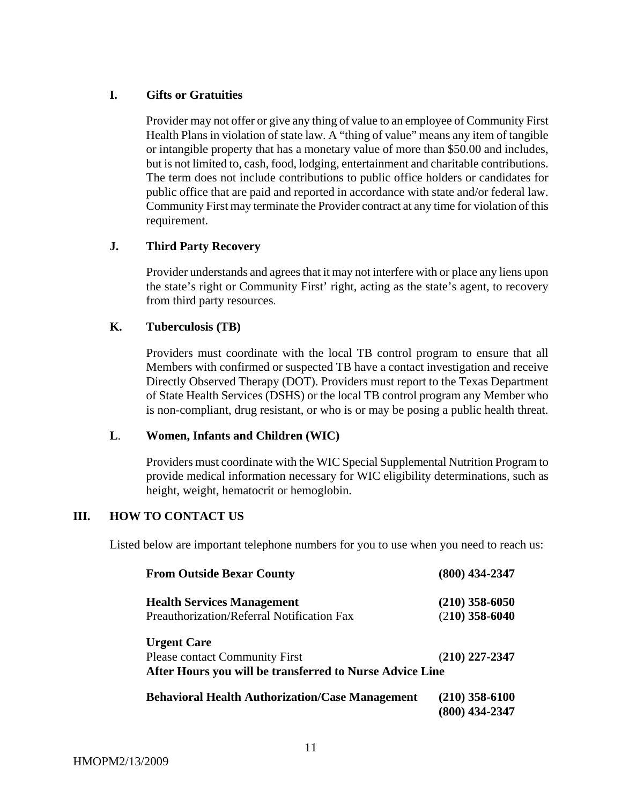### **I. Gifts or Gratuities**

Provider may not offer or give any thing of value to an employee of Community First Health Plans in violation of state law. A "thing of value" means any item of tangible or intangible property that has a monetary value of more than \$50.00 and includes, but is not limited to, cash, food, lodging, entertainment and charitable contributions. The term does not include contributions to public office holders or candidates for public office that are paid and reported in accordance with state and/or federal law. Community First may terminate the Provider contract at any time for violation of this requirement.

### **J. Third Party Recovery**

Provider understands and agrees that it may not interfere with or place any liens upon the state's right or Community First' right, acting as the state's agent, to recovery from third party resources.

#### **K. Tuberculosis (TB)**

Providers must coordinate with the local TB control program to ensure that all Members with confirmed or suspected TB have a contact investigation and receive Directly Observed Therapy (DOT). Providers must report to the Texas Department of State Health Services (DSHS) or the local TB control program any Member who is non-compliant, drug resistant, or who is or may be posing a public health threat.

#### **L**. **Women, Infants and Children (WIC)**

Providers must coordinate with the WIC Special Supplemental Nutrition Program to provide medical information necessary for WIC eligibility determinations, such as height, weight, hematocrit or hemoglobin.

# **III. HOW TO CONTACT US**

Listed below are important telephone numbers for you to use when you need to reach us:

| <b>From Outside Bexar County</b>                         | $(800)$ 434-2347 |
|----------------------------------------------------------|------------------|
| <b>Health Services Management</b>                        | $(210)$ 358-6050 |
| Preauthorization/Referral Notification Fax               | $(210)$ 358-6040 |
| <b>Urgent Care</b>                                       |                  |
| <b>Please contact Community First</b>                    | (210) 227-2347   |
| After Hours you will be transferred to Nurse Advice Line |                  |
| <b>Behavioral Health Authorization/Case Management</b>   | $(210)$ 358-6100 |
|                                                          | (800) 434-2347   |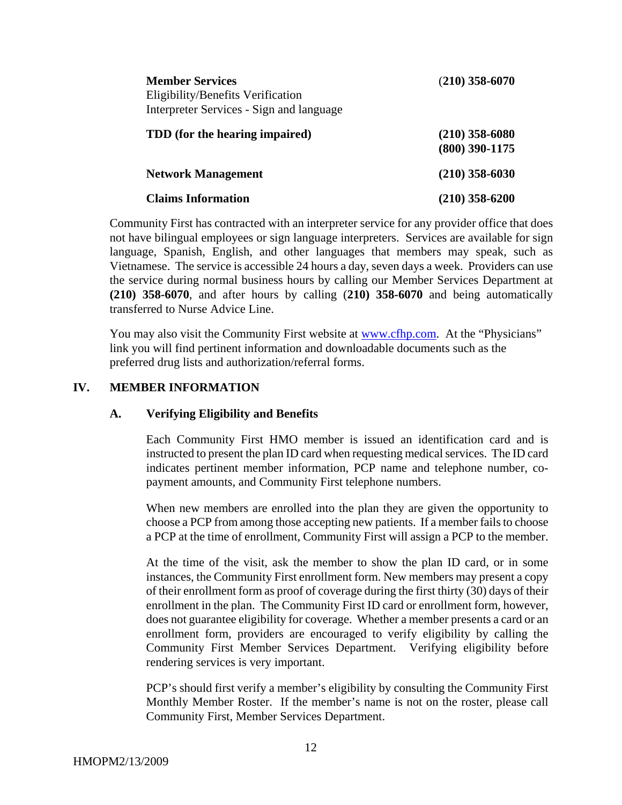| <b>Member Services</b><br>Eligibility/Benefits Verification | $(210)$ 358-6070 |
|-------------------------------------------------------------|------------------|
| Interpreter Services - Sign and language                    |                  |
| TDD (for the hearing impaired)                              | $(210)$ 358-6080 |
|                                                             | $(800)$ 390-1175 |
| <b>Network Management</b>                                   | $(210)$ 358-6030 |
| <b>Claims Information</b>                                   | $(210)$ 358-6200 |

Community First has contracted with an interpreter service for any provider office that does not have bilingual employees or sign language interpreters. Services are available for sign language, Spanish, English, and other languages that members may speak, such as Vietnamese. The service is accessible 24 hours a day, seven days a week. Providers can use the service during normal business hours by calling our Member Services Department at **(210) 358-6070**, and after hours by calling (**210) 358-6070** and being automatically transferred to Nurse Advice Line.

You may also visit the Community First website at [www.cfhp.com.](http://www.cfhp.com/) At the "Physicians" link you will find pertinent information and downloadable documents such as the preferred drug lists and authorization/referral forms.

### **IV. MEMBER INFORMATION**

#### **A. Verifying Eligibility and Benefits**

Each Community First HMO member is issued an identification card and is instructed to present the plan ID card when requesting medical services. The ID card indicates pertinent member information, PCP name and telephone number, copayment amounts, and Community First telephone numbers.

When new members are enrolled into the plan they are given the opportunity to choose a PCP from among those accepting new patients. If a member fails to choose a PCP at the time of enrollment, Community First will assign a PCP to the member.

At the time of the visit, ask the member to show the plan ID card, or in some instances, the Community First enrollment form. New members may present a copy of their enrollment form as proof of coverage during the first thirty (30) days of their enrollment in the plan. The Community First ID card or enrollment form, however, does not guarantee eligibility for coverage. Whether a member presents a card or an enrollment form, providers are encouraged to verify eligibility by calling the Community First Member Services Department. Verifying eligibility before rendering services is very important.

PCP's should first verify a member's eligibility by consulting the Community First Monthly Member Roster. If the member's name is not on the roster, please call Community First, Member Services Department.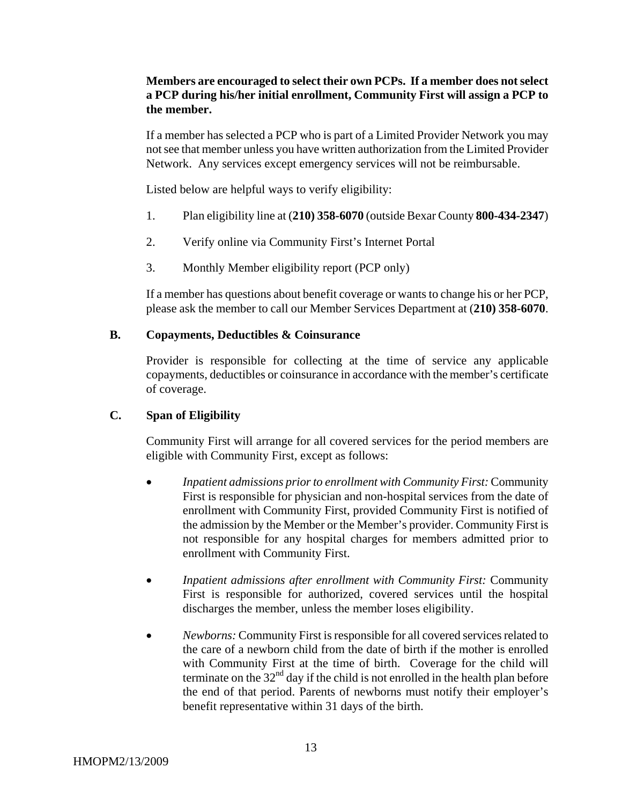# **Members are encouraged to select their own PCPs. If a member does not select a PCP during his/her initial enrollment, Community First will assign a PCP to the member.**

If a member has selected a PCP who is part of a Limited Provider Network you may not see that member unless you have written authorization from the Limited Provider Network. Any services except emergency services will not be reimbursable.

Listed below are helpful ways to verify eligibility:

- 1. Plan eligibility line at (**210) 358-6070** (outside Bexar County **800-434-2347**)
- 2. Verify online via Community First's Internet Portal
- 3. Monthly Member eligibility report (PCP only)

If a member has questions about benefit coverage or wants to change his or her PCP, please ask the member to call our Member Services Department at (**210) 358-6070**.

### **B. Copayments, Deductibles & Coinsurance**

Provider is responsible for collecting at the time of service any applicable copayments, deductibles or coinsurance in accordance with the member's certificate of coverage.

# **C. Span of Eligibility**

Community First will arrange for all covered services for the period members are eligible with Community First, except as follows:

- *Inpatient admissions prior to enrollment with Community First:* Community First is responsible for physician and non-hospital services from the date of enrollment with Community First, provided Community First is notified of the admission by the Member or the Member's provider. Community First is not responsible for any hospital charges for members admitted prior to enrollment with Community First.
- *Inpatient admissions after enrollment with Community First:* Community First is responsible for authorized, covered services until the hospital discharges the member, unless the member loses eligibility.
- *Newborns:* Community First is responsible for all covered services related to the care of a newborn child from the date of birth if the mother is enrolled with Community First at the time of birth. Coverage for the child will terminate on the  $32<sup>nd</sup>$  day if the child is not enrolled in the health plan before the end of that period. Parents of newborns must notify their employer's benefit representative within 31 days of the birth.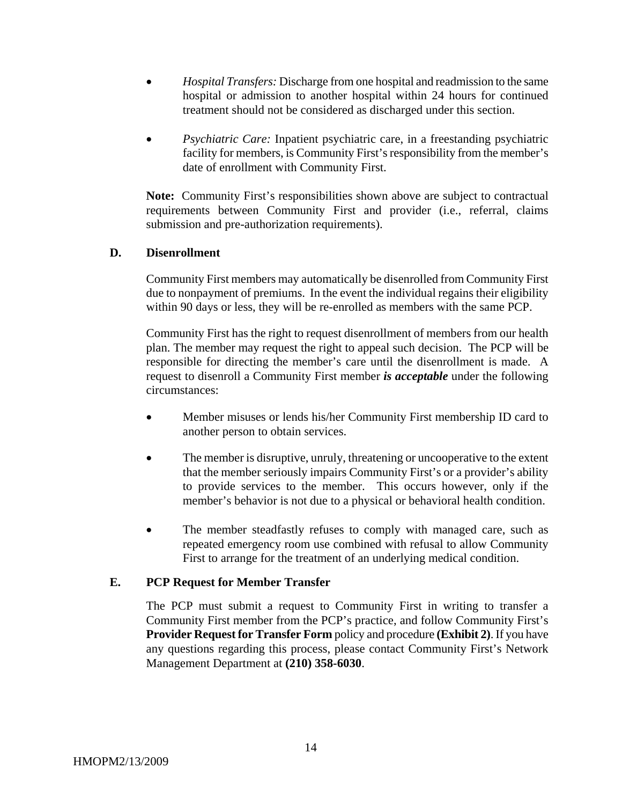- *Hospital Transfers:* Discharge from one hospital and readmission to the same hospital or admission to another hospital within 24 hours for continued treatment should not be considered as discharged under this section.
- *Psychiatric Care:* Inpatient psychiatric care, in a freestanding psychiatric facility for members, is Community First's responsibility from the member's date of enrollment with Community First.

**Note:** Community First's responsibilities shown above are subject to contractual requirements between Community First and provider (i.e., referral, claims submission and pre-authorization requirements).

### **D. Disenrollment**

Community First members may automatically be disenrolled from Community First due to nonpayment of premiums. In the event the individual regains their eligibility within 90 days or less, they will be re-enrolled as members with the same PCP.

Community First has the right to request disenrollment of members from our health plan. The member may request the right to appeal such decision. The PCP will be responsible for directing the member's care until the disenrollment is made. A request to disenroll a Community First member *is acceptable* under the following circumstances:

- Member misuses or lends his/her Community First membership ID card to another person to obtain services.
- The member is disruptive, unruly, threatening or uncooperative to the extent that the member seriously impairs Community First's or a provider's ability to provide services to the member. This occurs however, only if the member's behavior is not due to a physical or behavioral health condition.
- The member steadfastly refuses to comply with managed care, such as repeated emergency room use combined with refusal to allow Community First to arrange for the treatment of an underlying medical condition.

# **E. PCP Request for Member Transfer**

The PCP must submit a request to Community First in writing to transfer a Community First member from the PCP's practice, and follow Community First's **Provider Request for Transfer Form** policy and procedure **(Exhibit 2)**. If you have any questions regarding this process, please contact Community First's Network Management Department at **(210) 358-6030**.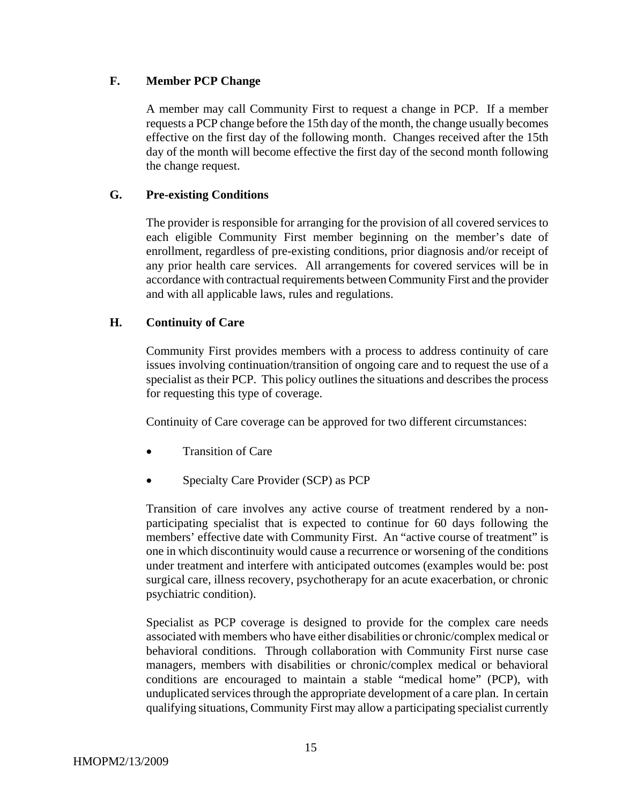### **F. Member PCP Change**

A member may call Community First to request a change in PCP. If a member requests a PCP change before the 15th day of the month, the change usually becomes effective on the first day of the following month. Changes received after the 15th day of the month will become effective the first day of the second month following the change request.

### **G. Pre-existing Conditions**

The provider is responsible for arranging for the provision of all covered services to each eligible Community First member beginning on the member's date of enrollment, regardless of pre-existing conditions, prior diagnosis and/or receipt of any prior health care services. All arrangements for covered services will be in accordance with contractual requirements between Community First and the provider and with all applicable laws, rules and regulations.

### **H. Continuity of Care**

Community First provides members with a process to address continuity of care issues involving continuation/transition of ongoing care and to request the use of a specialist as their PCP. This policy outlines the situations and describes the process for requesting this type of coverage.

Continuity of Care coverage can be approved for two different circumstances:

- Transition of Care
- Specialty Care Provider (SCP) as PCP

Transition of care involves any active course of treatment rendered by a nonparticipating specialist that is expected to continue for 60 days following the members' effective date with Community First. An "active course of treatment" is one in which discontinuity would cause a recurrence or worsening of the conditions under treatment and interfere with anticipated outcomes (examples would be: post surgical care, illness recovery, psychotherapy for an acute exacerbation, or chronic psychiatric condition).

Specialist as PCP coverage is designed to provide for the complex care needs associated with members who have either disabilities or chronic/complex medical or behavioral conditions. Through collaboration with Community First nurse case managers, members with disabilities or chronic/complex medical or behavioral conditions are encouraged to maintain a stable "medical home" (PCP), with unduplicated services through the appropriate development of a care plan. In certain qualifying situations, Community First may allow a participating specialist currently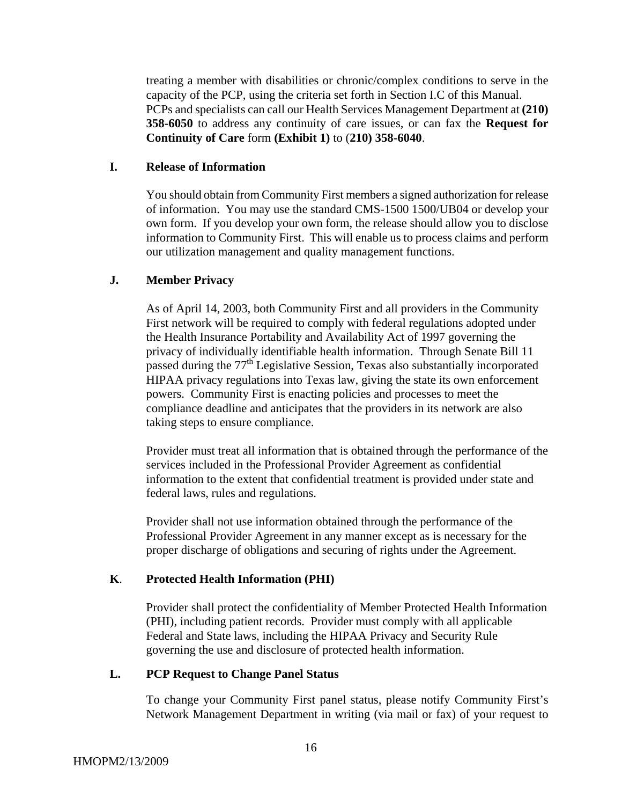treating a member with disabilities or chronic/complex conditions to serve in the capacity of the PCP, using the criteria set forth in Section I.C of this Manual. PCPs and specialists can call our Health Services Management Department at **(210) 358-6050** to address any continuity of care issues, or can fax the **Request for Continuity of Care** form **(Exhibit 1)** to (**210) 358-6040**.

#### **I. Release of Information**

You should obtain from Community First members a signed authorization for release of information. You may use the standard CMS-1500 1500/UB04 or develop your own form. If you develop your own form, the release should allow you to disclose information to Community First. This will enable us to process claims and perform our utilization management and quality management functions.

#### **J. Member Privacy**

As of April 14, 2003, both Community First and all providers in the Community First network will be required to comply with federal regulations adopted under the Health Insurance Portability and Availability Act of 1997 governing the privacy of individually identifiable health information. Through Senate Bill 11 passed during the 77th Legislative Session, Texas also substantially incorporated HIPAA privacy regulations into Texas law, giving the state its own enforcement powers. Community First is enacting policies and processes to meet the compliance deadline and anticipates that the providers in its network are also taking steps to ensure compliance.

Provider must treat all information that is obtained through the performance of the services included in the Professional Provider Agreement as confidential information to the extent that confidential treatment is provided under state and federal laws, rules and regulations.

Provider shall not use information obtained through the performance of the Professional Provider Agreement in any manner except as is necessary for the proper discharge of obligations and securing of rights under the Agreement.

#### **K**. **Protected Health Information (PHI)**

Provider shall protect the confidentiality of Member Protected Health Information (PHI), including patient records. Provider must comply with all applicable Federal and State laws, including the HIPAA Privacy and Security Rule governing the use and disclosure of protected health information.

#### **L. PCP Request to Change Panel Status**

To change your Community First panel status, please notify Community First's Network Management Department in writing (via mail or fax) of your request to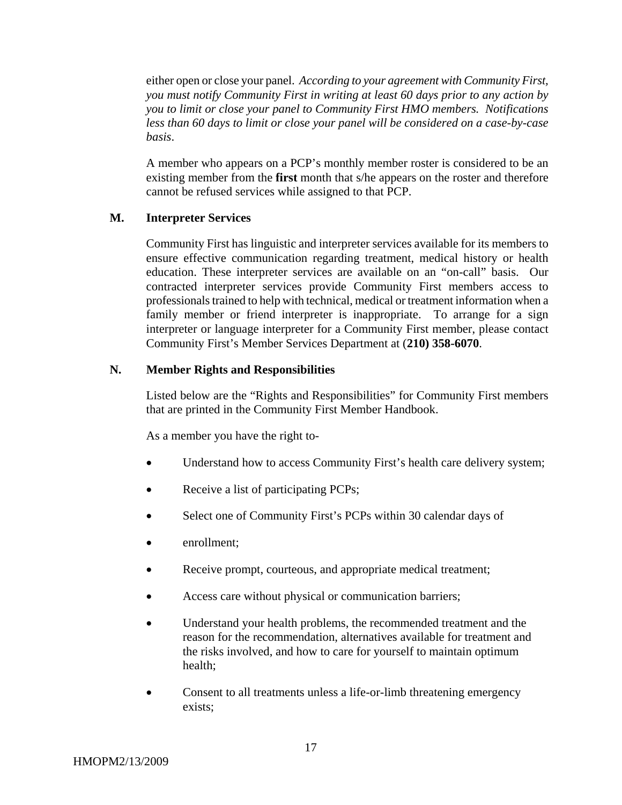either open or close your panel. *According to your agreement with Community First, you must notify Community First in writing at least 60 days prior to any action by you to limit or close your panel to Community First HMO members. Notifications less than 60 days to limit or close your panel will be considered on a case-by-case basis*.

A member who appears on a PCP's monthly member roster is considered to be an existing member from the **first** month that s/he appears on the roster and therefore cannot be refused services while assigned to that PCP.

### **M. Interpreter Services**

Community First has linguistic and interpreter services available for its members to ensure effective communication regarding treatment, medical history or health education. These interpreter services are available on an "on-call" basis. Our contracted interpreter services provide Community First members access to professionals trained to help with technical, medical or treatment information when a family member or friend interpreter is inappropriate. To arrange for a sign interpreter or language interpreter for a Community First member, please contact Community First's Member Services Department at (**210) 358-6070**.

#### **N. Member Rights and Responsibilities**

Listed below are the "Rights and Responsibilities" for Community First members that are printed in the Community First Member Handbook.

As a member you have the right to-

- Understand how to access Community First's health care delivery system;
- Receive a list of participating PCPs;
- Select one of Community First's PCPs within 30 calendar days of
- enrollment;
- Receive prompt, courteous, and appropriate medical treatment;
- Access care without physical or communication barriers;
- Understand your health problems, the recommended treatment and the reason for the recommendation, alternatives available for treatment and the risks involved, and how to care for yourself to maintain optimum health;
- Consent to all treatments unless a life-or-limb threatening emergency exists;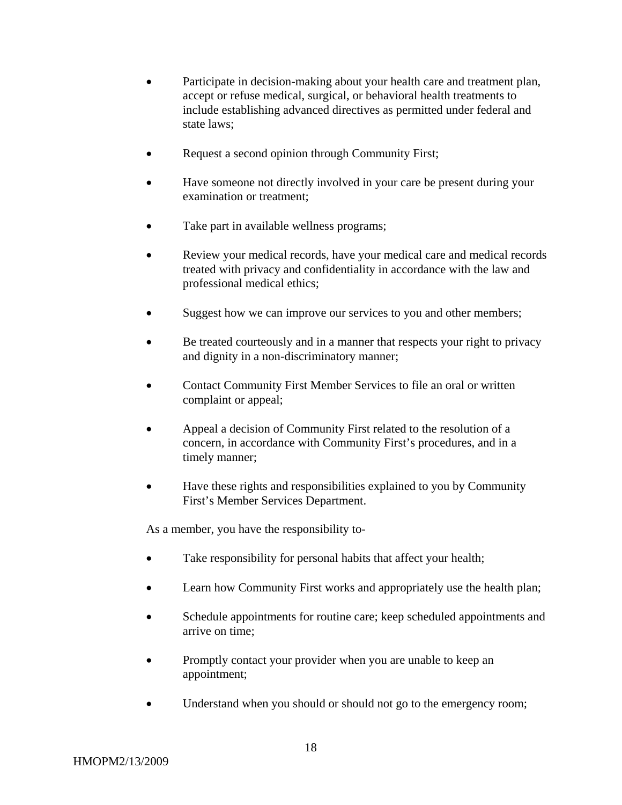- Participate in decision-making about your health care and treatment plan, accept or refuse medical, surgical, or behavioral health treatments to include establishing advanced directives as permitted under federal and state laws;
- Request a second opinion through Community First;
- Have someone not directly involved in your care be present during your examination or treatment;
- Take part in available wellness programs;
- Review your medical records, have your medical care and medical records treated with privacy and confidentiality in accordance with the law and professional medical ethics;
- Suggest how we can improve our services to you and other members;
- Be treated courteously and in a manner that respects your right to privacy and dignity in a non-discriminatory manner;
- Contact Community First Member Services to file an oral or written complaint or appeal;
- Appeal a decision of Community First related to the resolution of a concern, in accordance with Community First's procedures, and in a timely manner;
- Have these rights and responsibilities explained to you by Community First's Member Services Department.

As a member, you have the responsibility to-

- Take responsibility for personal habits that affect your health;
- Learn how Community First works and appropriately use the health plan;
- Schedule appointments for routine care; keep scheduled appointments and arrive on time;
- Promptly contact your provider when you are unable to keep an appointment;
- Understand when you should or should not go to the emergency room;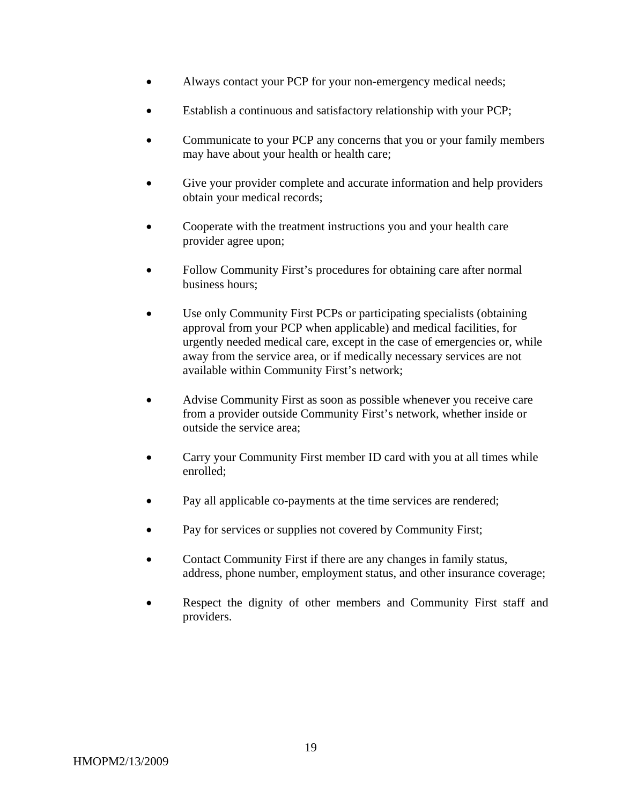- Always contact your PCP for your non-emergency medical needs;
- Establish a continuous and satisfactory relationship with your PCP;
- Communicate to your PCP any concerns that you or your family members may have about your health or health care;
- Give your provider complete and accurate information and help providers obtain your medical records;
- Cooperate with the treatment instructions you and your health care provider agree upon;
- Follow Community First's procedures for obtaining care after normal business hours;
- Use only Community First PCPs or participating specialists (obtaining approval from your PCP when applicable) and medical facilities, for urgently needed medical care, except in the case of emergencies or, while away from the service area, or if medically necessary services are not available within Community First's network;
- Advise Community First as soon as possible whenever you receive care from a provider outside Community First's network, whether inside or outside the service area;
- Carry your Community First member ID card with you at all times while enrolled;
- Pay all applicable co-payments at the time services are rendered;
- Pay for services or supplies not covered by Community First;
- Contact Community First if there are any changes in family status, address, phone number, employment status, and other insurance coverage;
- Respect the dignity of other members and Community First staff and providers.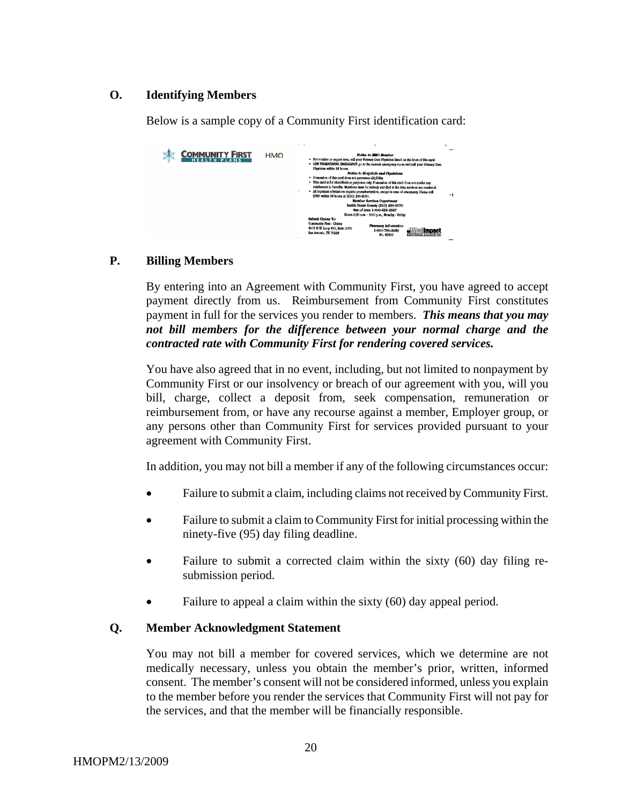### **O. Identifying Members**

Below is a sample copy of a Community First identification card:

| <b>OMMUNITY FIRST</b> | <b>HMO</b> | Notice to Hill? Member<br>. For routine or urgent care, call your Primary Care Physician listed on the front of this card.<br>· CIPE THERMTENING EMEGGENCY: (c) to the necreat emergency room and call your Primary Care<br>Elmidden within 24 hours.<br>Notice to Horolicis and Physicians<br>. Pennantion of this card does not guarantee ellethility.<br>. This card is for identification purposes only. Possession of this card does not confer any<br>entitlement to benefits. Members must be ratively enrolled at the time services are rendered.<br>· All incediant condistions require presumeration, execpt in case of emersons: Piecae call<br>CPHP within 24 hours et (210) 358-6090.<br><b>Momber Services Department</b><br>Inside Beans County (210) \$58-6070<br>Out of Area 1-800-434-2347<br>Hours 8:30 c.m. - 5:00 p.m., Monday - Priday<br>Sabada Cinima Tix |  |
|-----------------------|------------|-----------------------------------------------------------------------------------------------------------------------------------------------------------------------------------------------------------------------------------------------------------------------------------------------------------------------------------------------------------------------------------------------------------------------------------------------------------------------------------------------------------------------------------------------------------------------------------------------------------------------------------------------------------------------------------------------------------------------------------------------------------------------------------------------------------------------------------------------------------------------------------|--|
|                       |            | <b>Community First - Claims</b><br><b><i><u>Fleemory Information</u></i></b><br>4901 N.V. Loop 410, Suite 1000<br>1-800-788-2949<br>Sca Antonio, TX 78229<br><b>Mo. 45410</b><br>------------------                                                                                                                                                                                                                                                                                                                                                                                                                                                                                                                                                                                                                                                                               |  |

#### **P. Billing Members**

By entering into an Agreement with Community First, you have agreed to accept payment directly from us. Reimbursement from Community First constitutes payment in full for the services you render to members. *This means that you may not bill members for the difference between your normal charge and the contracted rate with Community First for rendering covered services.*

You have also agreed that in no event, including, but not limited to nonpayment by Community First or our insolvency or breach of our agreement with you, will you bill, charge, collect a deposit from, seek compensation, remuneration or reimbursement from, or have any recourse against a member, Employer group, or any persons other than Community First for services provided pursuant to your agreement with Community First.

In addition, you may not bill a member if any of the following circumstances occur:

- Failure to submit a claim, including claims not received by Community First.
- Failure to submit a claim to Community First for initial processing within the ninety-five (95) day filing deadline.
- Failure to submit a corrected claim within the sixty (60) day filing resubmission period.
- Failure to appeal a claim within the sixty (60) day appeal period.

#### **Q. Member Acknowledgment Statement**

You may not bill a member for covered services, which we determine are not medically necessary, unless you obtain the member's prior, written, informed consent. The member's consent will not be considered informed, unless you explain to the member before you render the services that Community First will not pay for the services, and that the member will be financially responsible.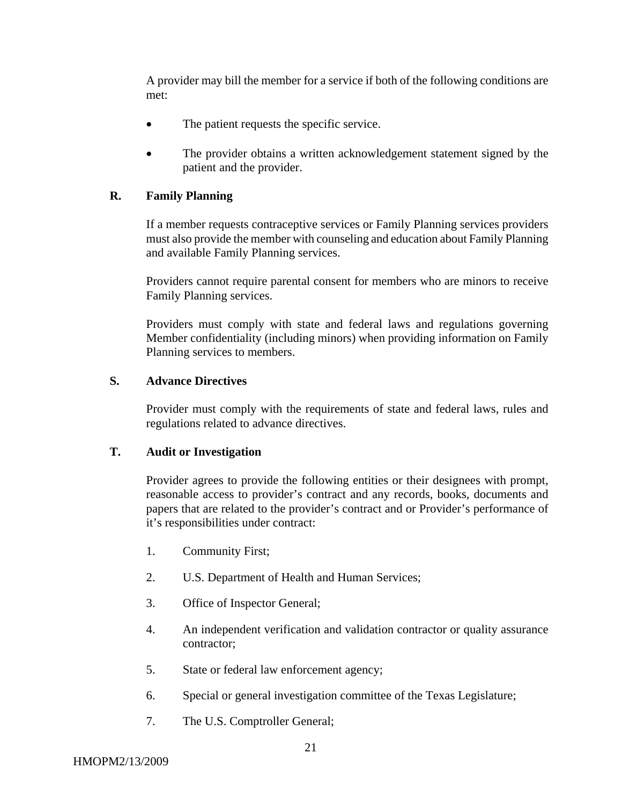A provider may bill the member for a service if both of the following conditions are met:

- The patient requests the specific service.
- The provider obtains a written acknowledgement statement signed by the patient and the provider.

### **R. Family Planning**

 If a member requests contraceptive services or Family Planning services providers must also provide the member with counseling and education about Family Planning and available Family Planning services.

Providers cannot require parental consent for members who are minors to receive Family Planning services.

Providers must comply with state and federal laws and regulations governing Member confidentiality (including minors) when providing information on Family Planning services to members.

#### **S. Advance Directives**

Provider must comply with the requirements of state and federal laws, rules and regulations related to advance directives.

#### **T. Audit or Investigation**

Provider agrees to provide the following entities or their designees with prompt, reasonable access to provider's contract and any records, books, documents and papers that are related to the provider's contract and or Provider's performance of it's responsibilities under contract:

- 1. Community First;
- 2. U.S. Department of Health and Human Services;
- 3. Office of Inspector General;
- 4. An independent verification and validation contractor or quality assurance contractor;
- 5. State or federal law enforcement agency;
- 6. Special or general investigation committee of the Texas Legislature;
- 7. The U.S. Comptroller General;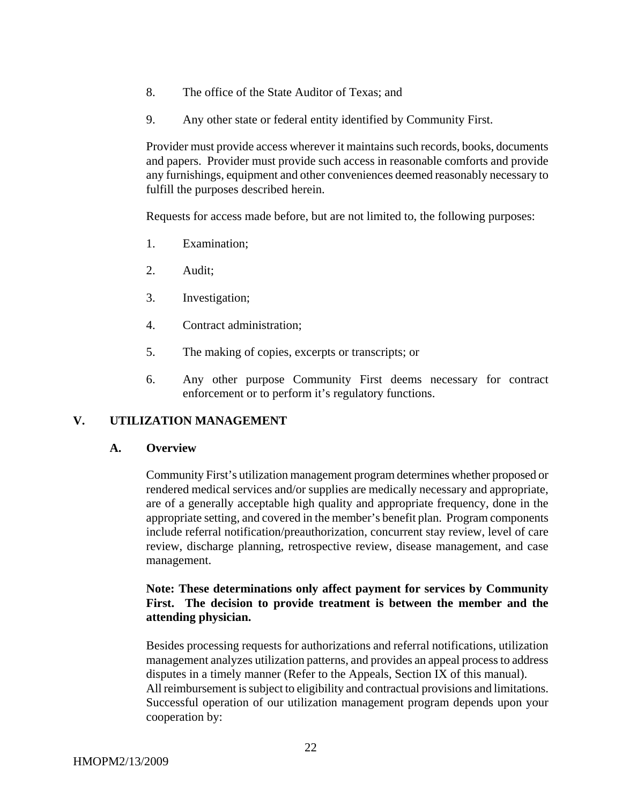- 8. The office of the State Auditor of Texas; and
- 9. Any other state or federal entity identified by Community First.

Provider must provide access wherever it maintains such records, books, documents and papers. Provider must provide such access in reasonable comforts and provide any furnishings, equipment and other conveniences deemed reasonably necessary to fulfill the purposes described herein.

Requests for access made before, but are not limited to, the following purposes:

- 1. Examination;
- 2. Audit;
- 3. Investigation;
- 4. Contract administration;
- 5. The making of copies, excerpts or transcripts; or
- 6. Any other purpose Community First deems necessary for contract enforcement or to perform it's regulatory functions.

#### **V. UTILIZATION MANAGEMENT**

#### **A. Overview**

Community First's utilization management program determines whether proposed or rendered medical services and/or supplies are medically necessary and appropriate, are of a generally acceptable high quality and appropriate frequency, done in the appropriate setting, and covered in the member's benefit plan. Program components include referral notification/preauthorization, concurrent stay review, level of care review, discharge planning, retrospective review, disease management, and case management.

### **Note: These determinations only affect payment for services by Community First. The decision to provide treatment is between the member and the attending physician.**

Besides processing requests for authorizations and referral notifications, utilization management analyzes utilization patterns, and provides an appeal process to address disputes in a timely manner (Refer to the Appeals, Section IX of this manual). All reimbursement is subject to eligibility and contractual provisions and limitations. Successful operation of our utilization management program depends upon your cooperation by: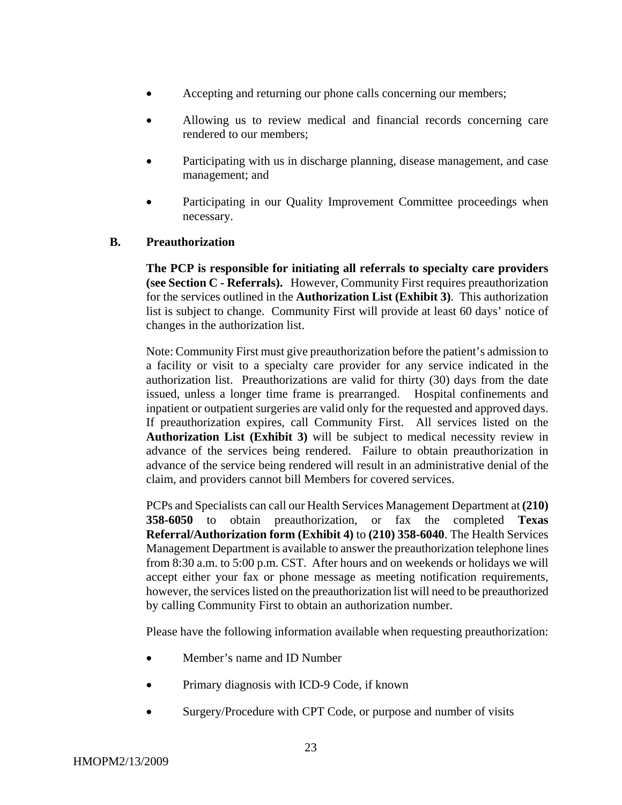- Accepting and returning our phone calls concerning our members;
- Allowing us to review medical and financial records concerning care rendered to our members;
- Participating with us in discharge planning, disease management, and case management; and
- Participating in our Quality Improvement Committee proceedings when necessary.

#### **B. Preauthorization**

**The PCP is responsible for initiating all referrals to specialty care providers (see Section C - Referrals).** However, Community First requires preauthorization for the services outlined in the **Authorization List (Exhibit 3)**. This authorization list is subject to change. Community First will provide at least 60 days' notice of changes in the authorization list.

Note: Community First must give preauthorization before the patient's admission to a facility or visit to a specialty care provider for any service indicated in the authorization list. Preauthorizations are valid for thirty (30) days from the date issued, unless a longer time frame is prearranged. Hospital confinements and inpatient or outpatient surgeries are valid only for the requested and approved days. If preauthorization expires, call Community First. All services listed on the **Authorization List (Exhibit 3)** will be subject to medical necessity review in advance of the services being rendered. Failure to obtain preauthorization in advance of the service being rendered will result in an administrative denial of the claim, and providers cannot bill Members for covered services.

PCPs and Specialists can call our Health Services Management Department at **(210) 358-6050** to obtain preauthorization, or fax the completed **Texas Referral/Authorization form (Exhibit 4)** to **(210) 358-6040**. The Health Services Management Department is available to answer the preauthorization telephone lines from 8:30 a.m. to 5:00 p.m. CST. After hours and on weekends or holidays we will accept either your fax or phone message as meeting notification requirements, however, the services listed on the preauthorization list will need to be preauthorized by calling Community First to obtain an authorization number.

Please have the following information available when requesting preauthorization:

- Member's name and ID Number
- Primary diagnosis with ICD-9 Code, if known
- Surgery/Procedure with CPT Code, or purpose and number of visits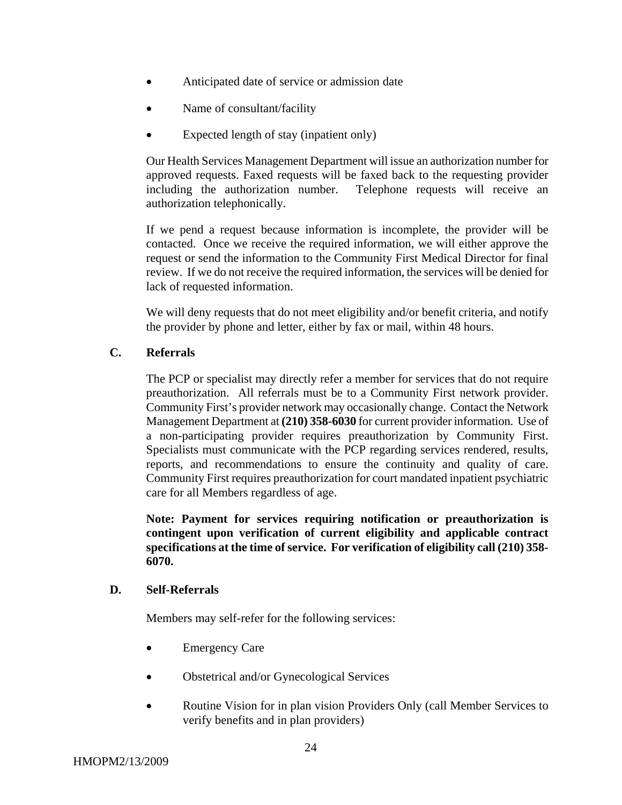- Anticipated date of service or admission date
- Name of consultant/facility
- Expected length of stay (inpatient only)

Our Health Services Management Department will issue an authorization number for approved requests. Faxed requests will be faxed back to the requesting provider including the authorization number. Telephone requests will receive an authorization telephonically.

If we pend a request because information is incomplete, the provider will be contacted. Once we receive the required information, we will either approve the request or send the information to the Community First Medical Director for final review. If we do not receive the required information, the services will be denied for lack of requested information.

We will deny requests that do not meet eligibility and/or benefit criteria, and notify the provider by phone and letter, either by fax or mail, within 48 hours.

#### **C. Referrals**

The PCP or specialist may directly refer a member for services that do not require preauthorization. All referrals must be to a Community First network provider. Community First's provider network may occasionally change. Contact the Network Management Department at **(210) 358-6030** for current provider information. Use of a non-participating provider requires preauthorization by Community First. Specialists must communicate with the PCP regarding services rendered, results, reports, and recommendations to ensure the continuity and quality of care. Community First requires preauthorization for court mandated inpatient psychiatric care for all Members regardless of age.

**Note: Payment for services requiring notification or preauthorization is contingent upon verification of current eligibility and applicable contract specifications at the time of service. For verification of eligibility call (210) 358- 6070.** 

#### **D. Self-Referrals**

Members may self-refer for the following services:

- Emergency Care
- Obstetrical and/or Gynecological Services
- Routine Vision for in plan vision Providers Only (call Member Services to verify benefits and in plan providers)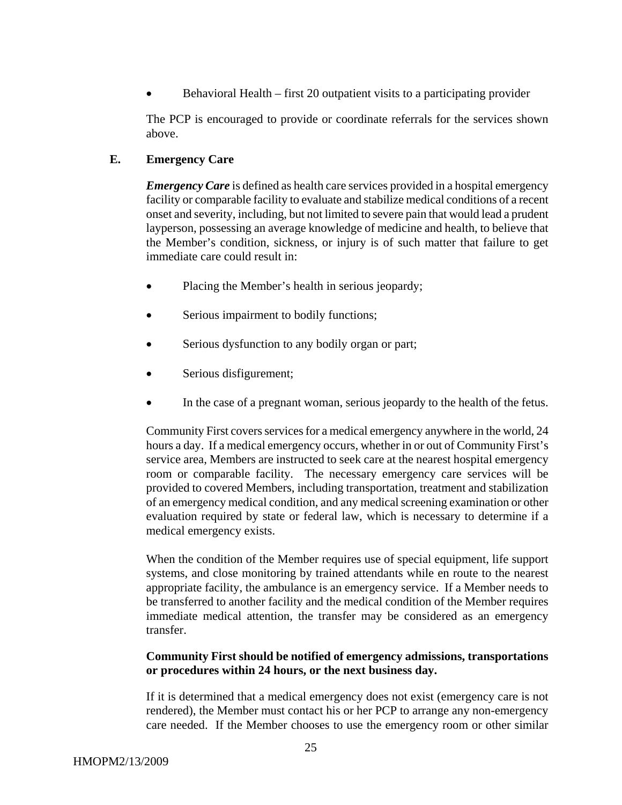• Behavioral Health – first 20 outpatient visits to a participating provider

The PCP is encouraged to provide or coordinate referrals for the services shown above.

### **E. Emergency Care**

*Emergency Care* is defined as health care services provided in a hospital emergency facility or comparable facility to evaluate and stabilize medical conditions of a recent onset and severity, including, but not limited to severe pain that would lead a prudent layperson, possessing an average knowledge of medicine and health, to believe that the Member's condition, sickness, or injury is of such matter that failure to get immediate care could result in:

- Placing the Member's health in serious jeopardy;
- Serious impairment to bodily functions;
- Serious dysfunction to any bodily organ or part;
- Serious disfigurement;
- In the case of a pregnant woman, serious jeopardy to the health of the fetus.

Community First covers services for a medical emergency anywhere in the world, 24 hours a day. If a medical emergency occurs, whether in or out of Community First's service area, Members are instructed to seek care at the nearest hospital emergency room or comparable facility. The necessary emergency care services will be provided to covered Members, including transportation, treatment and stabilization of an emergency medical condition, and any medical screening examination or other evaluation required by state or federal law, which is necessary to determine if a medical emergency exists.

When the condition of the Member requires use of special equipment, life support systems, and close monitoring by trained attendants while en route to the nearest appropriate facility, the ambulance is an emergency service.If a Member needs to be transferred to another facility and the medical condition of the Member requires immediate medical attention, the transfer may be considered as an emergency transfer.

### **Community First should be notified of emergency admissions, transportations or procedures within 24 hours, or the next business day.**

If it is determined that a medical emergency does not exist (emergency care is not rendered), the Member must contact his or her PCP to arrange any non-emergency care needed. If the Member chooses to use the emergency room or other similar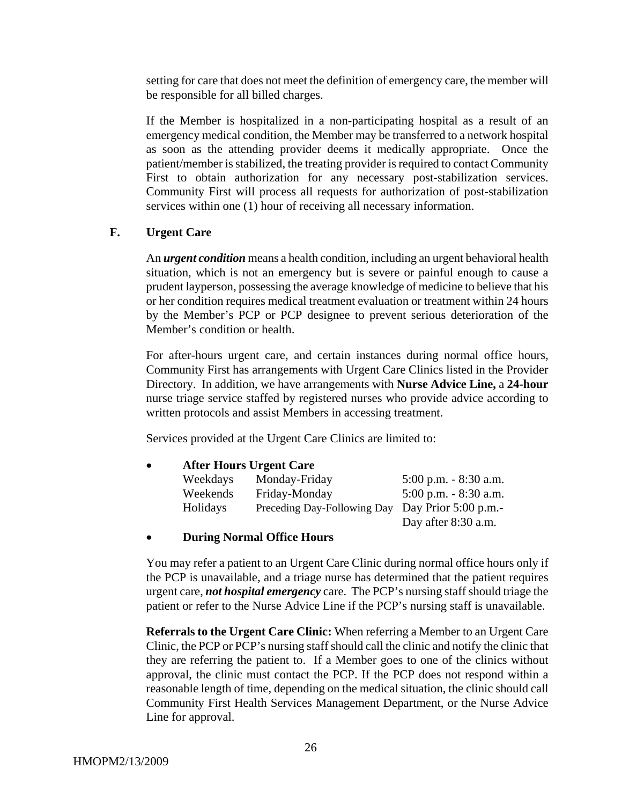setting for care that does not meet the definition of emergency care, the member will be responsible for all billed charges.

If the Member is hospitalized in a non-participating hospital as a result of an emergency medical condition, the Member may be transferred to a network hospital as soon as the attending provider deems it medically appropriate. Once the patient/member is stabilized, the treating provider is required to contact Community First to obtain authorization for any necessary post-stabilization services. Community First will process all requests for authorization of post-stabilization services within one (1) hour of receiving all necessary information.

### **F. Urgent Care**

An *urgent condition* means a health condition, including an urgent behavioral health situation, which is not an emergency but is severe or painful enough to cause a prudent layperson, possessing the average knowledge of medicine to believe that his or her condition requires medical treatment evaluation or treatment within 24 hours by the Member's PCP or PCP designee to prevent serious deterioration of the Member's condition or health.

For after-hours urgent care, and certain instances during normal office hours, Community First has arrangements with Urgent Care Clinics listed in the Provider Directory. In addition, we have arrangements with **Nurse Advice Line,** a **24-hour** nurse triage service staffed by registered nurses who provide advice according to written protocols and assist Members in accessing treatment.

Services provided at the Urgent Care Clinics are limited to:

| $\bullet$ |          | <b>After Hours Urgent Care</b> |                          |  |  |
|-----------|----------|--------------------------------|--------------------------|--|--|
|           | Weekdays | Monday-Friday                  | $5:00$ p.m. $-8:30$ a.m. |  |  |
|           | Weekends | Friday-Monday                  | $5:00$ p.m. $-8:30$ a.m. |  |  |
|           | Holidays | Preceding Day-Following Day    | Day Prior $5:00$ p.m.-   |  |  |
|           |          |                                | Day after 8:30 a.m.      |  |  |

#### • **During Normal Office Hours**

You may refer a patient to an Urgent Care Clinic during normal office hours only if the PCP is unavailable, and a triage nurse has determined that the patient requires urgent care, *not hospital emergency* care. The PCP's nursing staff should triage the patient or refer to the Nurse Advice Line if the PCP's nursing staff is unavailable.

**Referrals to the Urgent Care Clinic:** When referring a Member to an Urgent Care Clinic, the PCP or PCP's nursing staff should call the clinic and notify the clinic that they are referring the patient to. If a Member goes to one of the clinics without approval, the clinic must contact the PCP. If the PCP does not respond within a reasonable length of time, depending on the medical situation, the clinic should call Community First Health Services Management Department, or the Nurse Advice Line for approval.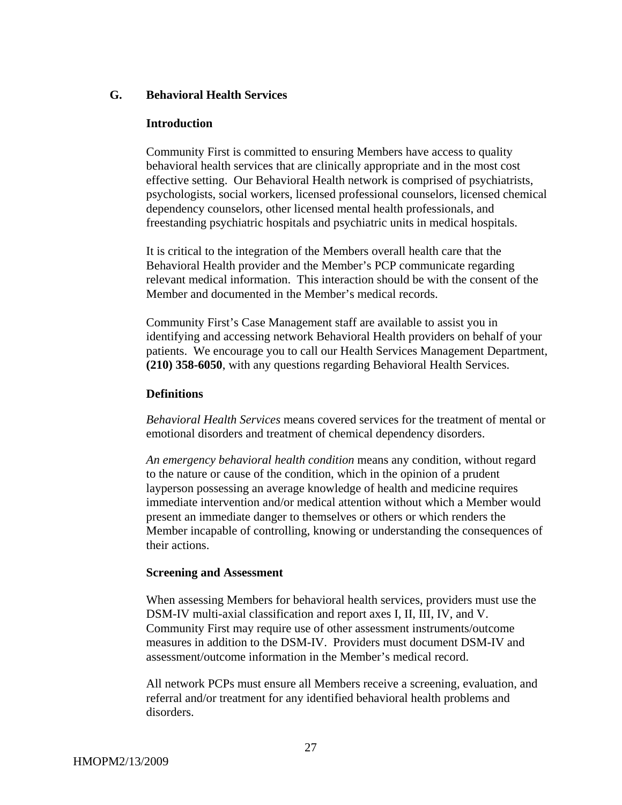#### **G. Behavioral Health Services**

#### **Introduction**

Community First is committed to ensuring Members have access to quality behavioral health services that are clinically appropriate and in the most cost effective setting. Our Behavioral Health network is comprised of psychiatrists, psychologists, social workers, licensed professional counselors, licensed chemical dependency counselors, other licensed mental health professionals, and freestanding psychiatric hospitals and psychiatric units in medical hospitals.

It is critical to the integration of the Members overall health care that the Behavioral Health provider and the Member's PCP communicate regarding relevant medical information. This interaction should be with the consent of the Member and documented in the Member's medical records.

Community First's Case Management staff are available to assist you in identifying and accessing network Behavioral Health providers on behalf of your patients. We encourage you to call our Health Services Management Department, **(210) 358-6050**, with any questions regarding Behavioral Health Services.

#### **Definitions**

*Behavioral Health Services* means covered services for the treatment of mental or emotional disorders and treatment of chemical dependency disorders.

*An emergency behavioral health condition* means any condition, without regard to the nature or cause of the condition, which in the opinion of a prudent layperson possessing an average knowledge of health and medicine requires immediate intervention and/or medical attention without which a Member would present an immediate danger to themselves or others or which renders the Member incapable of controlling, knowing or understanding the consequences of their actions.

#### **Screening and Assessment**

When assessing Members for behavioral health services, providers must use the DSM-IV multi-axial classification and report axes I, II, III, IV, and V. Community First may require use of other assessment instruments/outcome measures in addition to the DSM-IV. Providers must document DSM-IV and assessment/outcome information in the Member's medical record.

All network PCPs must ensure all Members receive a screening, evaluation, and referral and/or treatment for any identified behavioral health problems and disorders.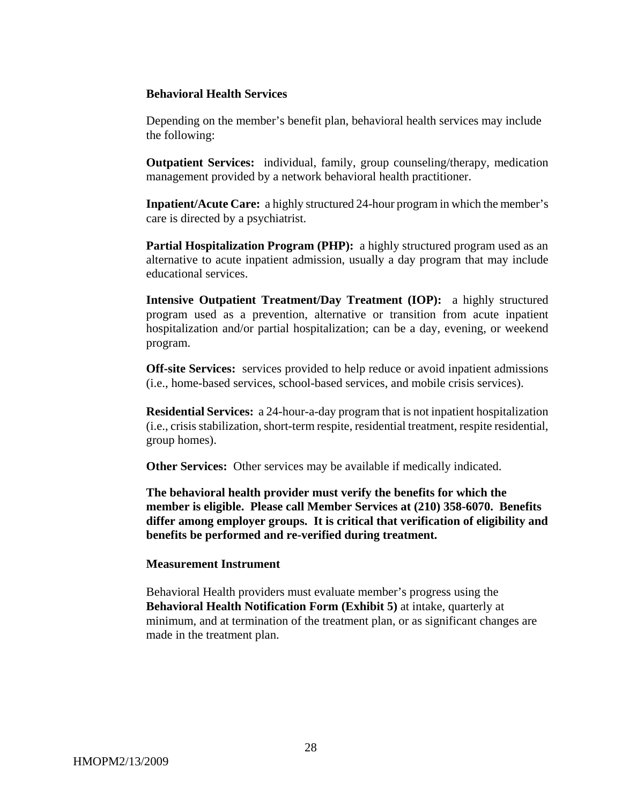#### **Behavioral Health Services**

Depending on the member's benefit plan, behavioral health services may include the following:

**Outpatient Services:** individual, family, group counseling/therapy, medication management provided by a network behavioral health practitioner.

**Inpatient/Acute Care:** a highly structured 24-hour program in which the member's care is directed by a psychiatrist.

**Partial Hospitalization Program (PHP):** a highly structured program used as an alternative to acute inpatient admission, usually a day program that may include educational services.

**Intensive Outpatient Treatment/Day Treatment (IOP):** a highly structured program used as a prevention, alternative or transition from acute inpatient hospitalization and/or partial hospitalization; can be a day, evening, or weekend program.

**Off-site Services:** services provided to help reduce or avoid inpatient admissions (i.e., home-based services, school-based services, and mobile crisis services).

**Residential Services:** a 24-hour-a-day program that is not inpatient hospitalization (i.e., crisis stabilization, short-term respite, residential treatment, respite residential, group homes).

**Other Services:** Other services may be available if medically indicated.

**The behavioral health provider must verify the benefits for which the member is eligible. Please call Member Services at (210) 358-6070. Benefits differ among employer groups. It is critical that verification of eligibility and benefits be performed and re-verified during treatment.** 

#### **Measurement Instrument**

Behavioral Health providers must evaluate member's progress using the **Behavioral Health Notification Form (Exhibit 5)** at intake, quarterly at minimum, and at termination of the treatment plan, or as significant changes are made in the treatment plan.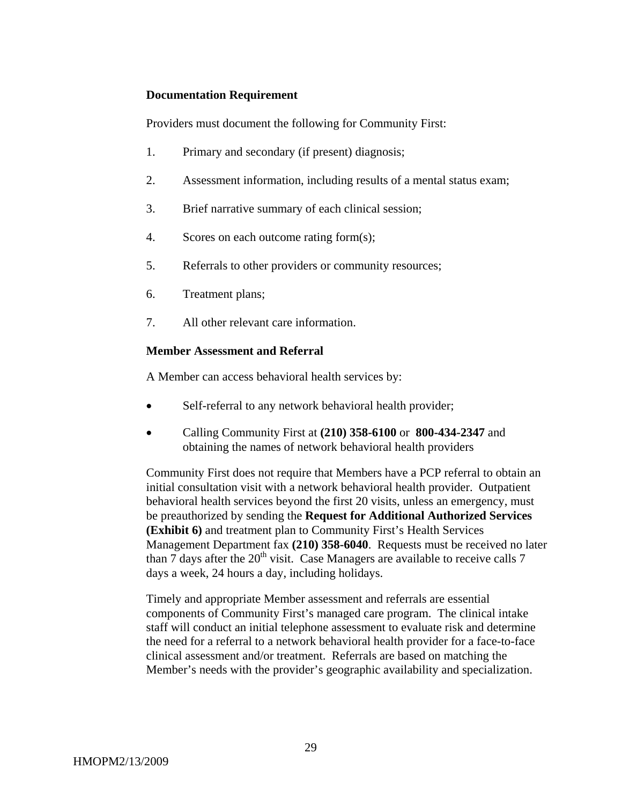#### **Documentation Requirement**

Providers must document the following for Community First:

- 1. Primary and secondary (if present) diagnosis;
- 2. Assessment information, including results of a mental status exam;
- 3. Brief narrative summary of each clinical session;
- 4. Scores on each outcome rating form(s);
- 5. Referrals to other providers or community resources;
- 6. Treatment plans;
- 7. All other relevant care information.

### **Member Assessment and Referral**

A Member can access behavioral health services by:

- Self-referral to any network behavioral health provider;
- Calling Community First at **(210) 358-6100** or **800-434-2347** and obtaining the names of network behavioral health providers

Community First does not require that Members have a PCP referral to obtain an initial consultation visit with a network behavioral health provider. Outpatient behavioral health services beyond the first 20 visits, unless an emergency, must be preauthorized by sending the **Request for Additional Authorized Services (Exhibit 6)** and treatment plan to Community First's Health Services Management Department fax **(210) 358-6040**. Requests must be received no later than  $7$  days after the  $20<sup>th</sup>$  visit. Case Managers are available to receive calls  $7$ days a week, 24 hours a day, including holidays.

Timely and appropriate Member assessment and referrals are essential components of Community First's managed care program. The clinical intake staff will conduct an initial telephone assessment to evaluate risk and determine the need for a referral to a network behavioral health provider for a face-to-face clinical assessment and/or treatment. Referrals are based on matching the Member's needs with the provider's geographic availability and specialization.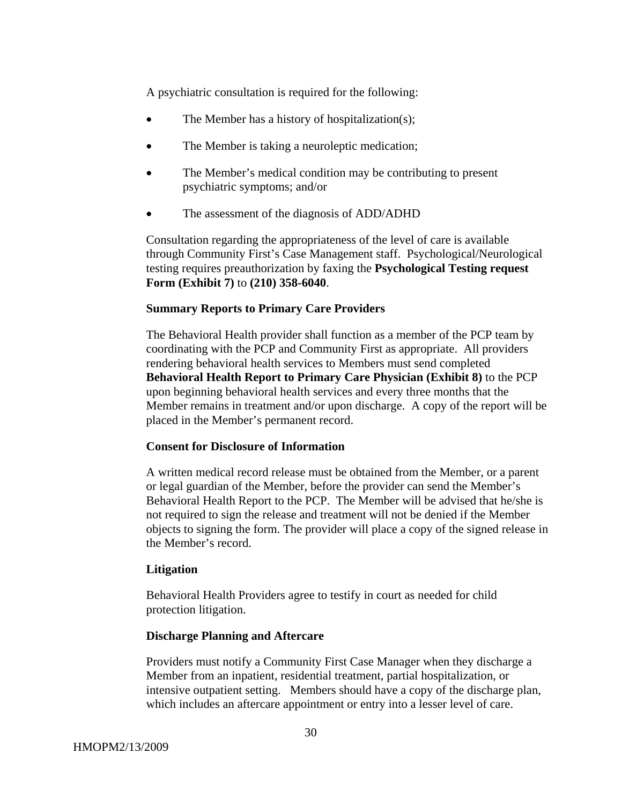A psychiatric consultation is required for the following:

- The Member has a history of hospitalization(s);
- The Member is taking a neuroleptic medication;
- The Member's medical condition may be contributing to present psychiatric symptoms; and/or
- The assessment of the diagnosis of ADD/ADHD

Consultation regarding the appropriateness of the level of care is available through Community First's Case Management staff. Psychological/Neurological testing requires preauthorization by faxing the **Psychological Testing request Form (Exhibit 7)** to **(210) 358-6040**.

#### **Summary Reports to Primary Care Providers**

The Behavioral Health provider shall function as a member of the PCP team by coordinating with the PCP and Community First as appropriate. All providers rendering behavioral health services to Members must send completed **Behavioral Health Report to Primary Care Physician (Exhibit 8)** to the PCP upon beginning behavioral health services and every three months that the Member remains in treatment and/or upon discharge. A copy of the report will be placed in the Member's permanent record.

#### **Consent for Disclosure of Information**

A written medical record release must be obtained from the Member, or a parent or legal guardian of the Member, before the provider can send the Member's Behavioral Health Report to the PCP. The Member will be advised that he/she is not required to sign the release and treatment will not be denied if the Member objects to signing the form. The provider will place a copy of the signed release in the Member's record.

#### **Litigation**

Behavioral Health Providers agree to testify in court as needed for child protection litigation.

#### **Discharge Planning and Aftercare**

Providers must notify a Community First Case Manager when they discharge a Member from an inpatient, residential treatment, partial hospitalization, or intensive outpatient setting. Members should have a copy of the discharge plan, which includes an aftercare appointment or entry into a lesser level of care.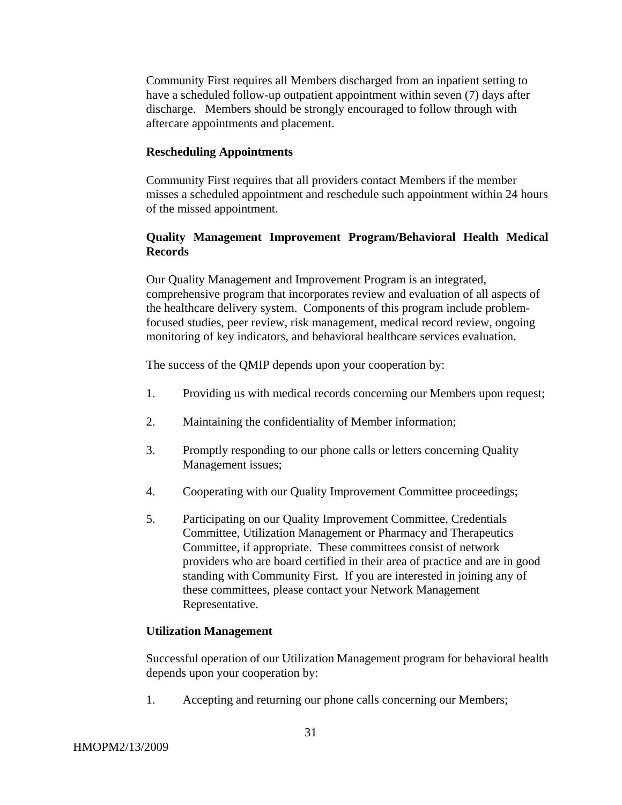Community First requires all Members discharged from an inpatient setting to have a scheduled follow-up outpatient appointment within seven (7) days after discharge. Members should be strongly encouraged to follow through with aftercare appointments and placement.

#### **Rescheduling Appointments**

Community First requires that all providers contact Members if the member misses a scheduled appointment and reschedule such appointment within 24 hours of the missed appointment.

### **Quality Management Improvement Program/Behavioral Health Medical Records**

Our Quality Management and Improvement Program is an integrated, comprehensive program that incorporates review and evaluation of all aspects of the healthcare delivery system. Components of this program include problemfocused studies, peer review, risk management, medical record review, ongoing monitoring of key indicators, and behavioral healthcare services evaluation.

The success of the QMIP depends upon your cooperation by:

- 1. Providing us with medical records concerning our Members upon request;
- 2. Maintaining the confidentiality of Member information;
- 3. Promptly responding to our phone calls or letters concerning Quality Management issues;
- 4. Cooperating with our Quality Improvement Committee proceedings;
- 5. Participating on our Quality Improvement Committee, Credentials Committee, Utilization Management or Pharmacy and Therapeutics Committee, if appropriate. These committees consist of network providers who are board certified in their area of practice and are in good standing with Community First. If you are interested in joining any of these committees, please contact your Network Management Representative.

#### **Utilization Management**

Successful operation of our Utilization Management program for behavioral health depends upon your cooperation by:

1. Accepting and returning our phone calls concerning our Members;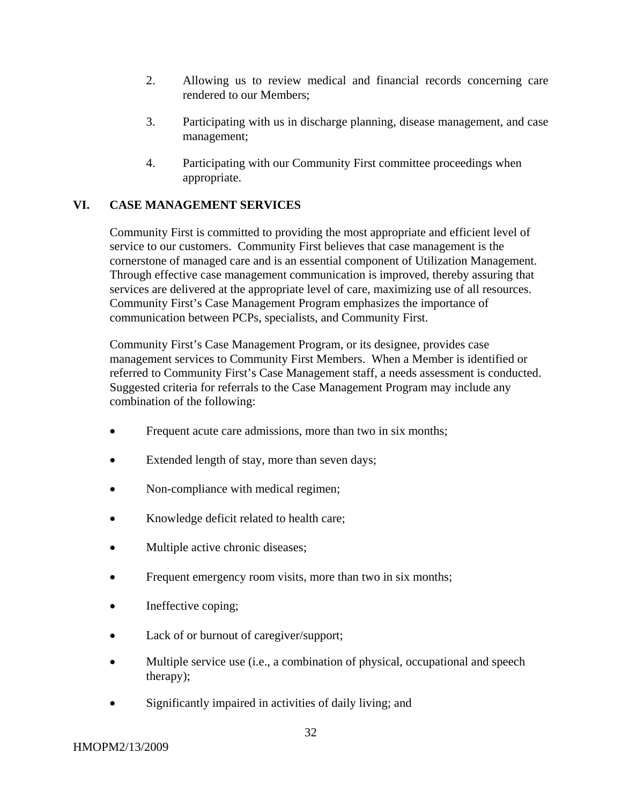- 2. Allowing us to review medical and financial records concerning care rendered to our Members;
- 3. Participating with us in discharge planning, disease management, and case management;
- 4. Participating with our Community First committee proceedings when appropriate.

# **VI. CASE MANAGEMENT SERVICES**

Community First is committed to providing the most appropriate and efficient level of service to our customers. Community First believes that case management is the cornerstone of managed care and is an essential component of Utilization Management. Through effective case management communication is improved, thereby assuring that services are delivered at the appropriate level of care, maximizing use of all resources. Community First's Case Management Program emphasizes the importance of communication between PCPs, specialists, and Community First.

Community First's Case Management Program, or its designee, provides case management services to Community First Members. When a Member is identified or referred to Community First's Case Management staff, a needs assessment is conducted. Suggested criteria for referrals to the Case Management Program may include any combination of the following:

- Frequent acute care admissions, more than two in six months;
- Extended length of stay, more than seven days;
- Non-compliance with medical regimen;
- Knowledge deficit related to health care;
- Multiple active chronic diseases;
- Frequent emergency room visits, more than two in six months;
- Ineffective coping;
- Lack of or burnout of caregiver/support;
- Multiple service use (i.e., a combination of physical, occupational and speech therapy);
- Significantly impaired in activities of daily living; and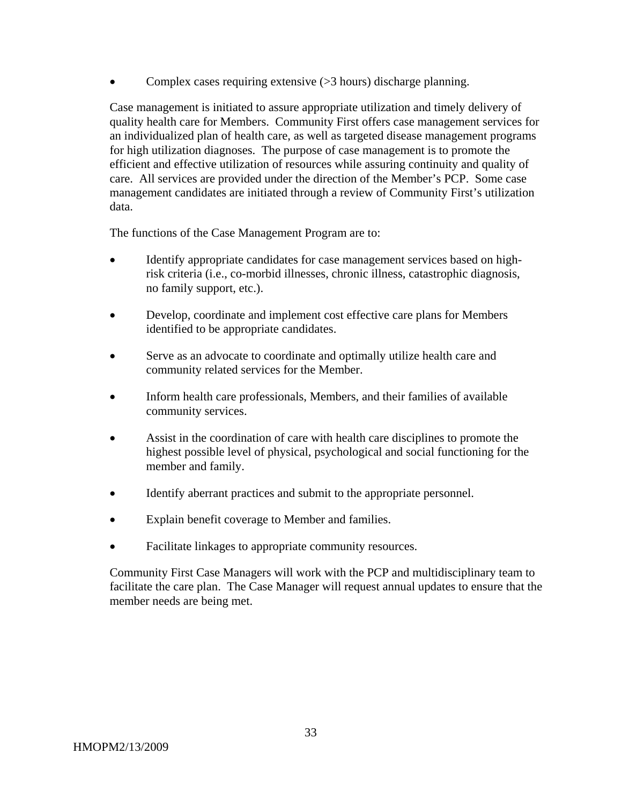Complex cases requiring extensive (> 3 hours) discharge planning.

Case management is initiated to assure appropriate utilization and timely delivery of quality health care for Members. Community First offers case management services for an individualized plan of health care, as well as targeted disease management programs for high utilization diagnoses. The purpose of case management is to promote the efficient and effective utilization of resources while assuring continuity and quality of care. All services are provided under the direction of the Member's PCP. Some case management candidates are initiated through a review of Community First's utilization data.

The functions of the Case Management Program are to:

- Identify appropriate candidates for case management services based on high risk criteria (i.e., co-morbid illnesses, chronic illness, catastrophic diagnosis, no family support, etc.).
- Develop, coordinate and implement cost effective care plans for Members identified to be appropriate candidates.
- Serve as an advocate to coordinate and optimally utilize health care and community related services for the Member.
- Inform health care professionals, Members, and their families of available community services.
- Assist in the coordination of care with health care disciplines to promote the highest possible level of physical, psychological and social functioning for the member and family.
- Identify aberrant practices and submit to the appropriate personnel.
- Explain benefit coverage to Member and families.
- Facilitate linkages to appropriate community resources.

Community First Case Managers will work with the PCP and multidisciplinary team to facilitate the care plan. The Case Manager will request annual updates to ensure that the member needs are being met.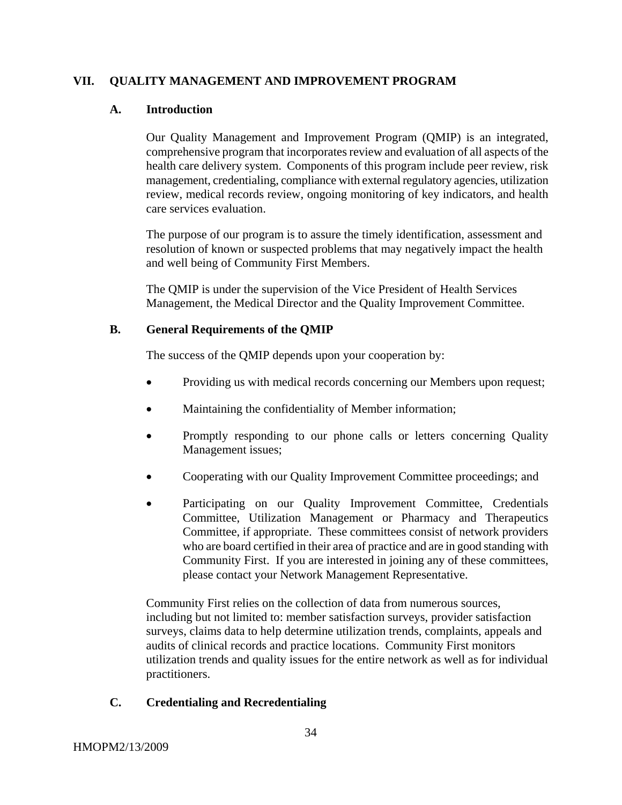### **VII. QUALITY MANAGEMENT AND IMPROVEMENT PROGRAM**

#### **A. Introduction**

Our Quality Management and Improvement Program (QMIP) is an integrated, comprehensive program that incorporates review and evaluation of all aspects of the health care delivery system. Components of this program include peer review, risk management, credentialing, compliance with external regulatory agencies, utilization review, medical records review, ongoing monitoring of key indicators, and health care services evaluation.

The purpose of our program is to assure the timely identification, assessment and resolution of known or suspected problems that may negatively impact the health and well being of Community First Members.

The QMIP is under the supervision of the Vice President of Health Services Management, the Medical Director and the Quality Improvement Committee.

#### **B. General Requirements of the QMIP**

The success of the QMIP depends upon your cooperation by:

- Providing us with medical records concerning our Members upon request;
- Maintaining the confidentiality of Member information;
- Promptly responding to our phone calls or letters concerning Quality Management issues;
- Cooperating with our Quality Improvement Committee proceedings; and
- Participating on our Quality Improvement Committee, Credentials Committee, Utilization Management or Pharmacy and Therapeutics Committee, if appropriate. These committees consist of network providers who are board certified in their area of practice and are in good standing with Community First. If you are interested in joining any of these committees, please contact your Network Management Representative.

Community First relies on the collection of data from numerous sources, including but not limited to: member satisfaction surveys, provider satisfaction surveys, claims data to help determine utilization trends, complaints, appeals and audits of clinical records and practice locations. Community First monitors utilization trends and quality issues for the entire network as well as for individual practitioners.

#### **C. Credentialing and Recredentialing**

HMOPM2/13/2009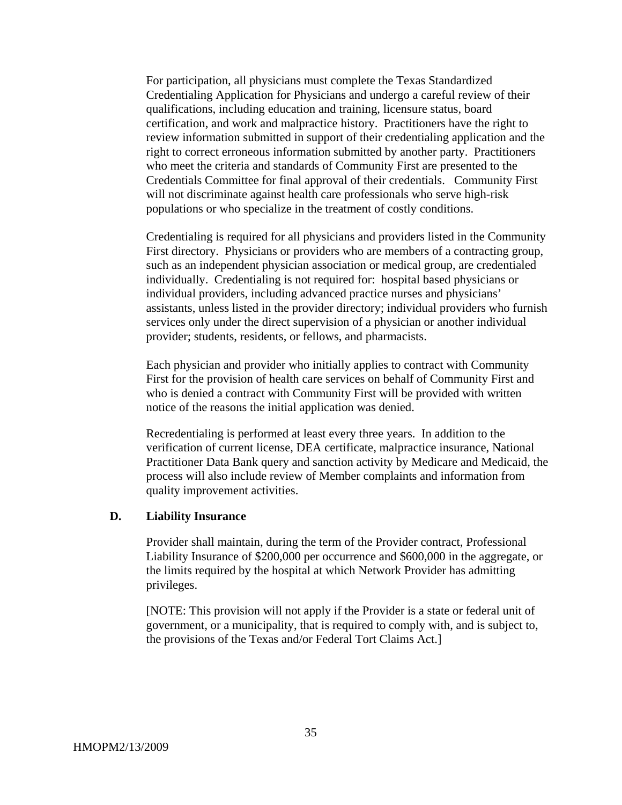For participation, all physicians must complete the Texas Standardized Credentialing Application for Physicians and undergo a careful review of their qualifications, including education and training, licensure status, board certification, and work and malpractice history. Practitioners have the right to review information submitted in support of their credentialing application and the right to correct erroneous information submitted by another party. Practitioners who meet the criteria and standards of Community First are presented to the Credentials Committee for final approval of their credentials. Community First will not discriminate against health care professionals who serve high-risk populations or who specialize in the treatment of costly conditions.

Credentialing is required for all physicians and providers listed in the Community First directory. Physicians or providers who are members of a contracting group, such as an independent physician association or medical group, are credentialed individually. Credentialing is not required for: hospital based physicians or individual providers, including advanced practice nurses and physicians' assistants, unless listed in the provider directory; individual providers who furnish services only under the direct supervision of a physician or another individual provider; students, residents, or fellows, and pharmacists.

Each physician and provider who initially applies to contract with Community First for the provision of health care services on behalf of Community First and who is denied a contract with Community First will be provided with written notice of the reasons the initial application was denied.

Recredentialing is performed at least every three years. In addition to the verification of current license, DEA certificate, malpractice insurance, National Practitioner Data Bank query and sanction activity by Medicare and Medicaid, the process will also include review of Member complaints and information from quality improvement activities.

#### **D. Liability Insurance**

Provider shall maintain, during the term of the Provider contract, Professional Liability Insurance of \$200,000 per occurrence and \$600,000 in the aggregate, or the limits required by the hospital at which Network Provider has admitting privileges.

[NOTE: This provision will not apply if the Provider is a state or federal unit of government, or a municipality, that is required to comply with, and is subject to, the provisions of the Texas and/or Federal Tort Claims Act.]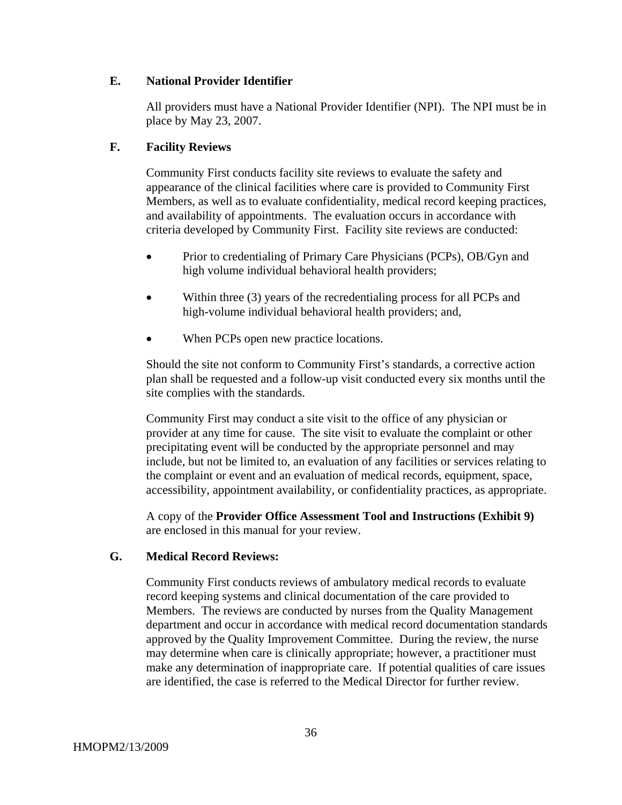#### **E. National Provider Identifier**

All providers must have a National Provider Identifier (NPI). The NPI must be in place by May 23, 2007.

# **F. Facility Reviews**

Community First conducts facility site reviews to evaluate the safety and appearance of the clinical facilities where care is provided to Community First Members, as well as to evaluate confidentiality, medical record keeping practices, and availability of appointments. The evaluation occurs in accordance with criteria developed by Community First. Facility site reviews are conducted:

- Prior to credentialing of Primary Care Physicians (PCPs), OB/Gyn and high volume individual behavioral health providers;
- Within three (3) years of the recredentialing process for all PCPs and high-volume individual behavioral health providers; and,
- When PCPs open new practice locations.

Should the site not conform to Community First's standards, a corrective action plan shall be requested and a follow-up visit conducted every six months until the site complies with the standards.

Community First may conduct a site visit to the office of any physician or provider at any time for cause. The site visit to evaluate the complaint or other precipitating event will be conducted by the appropriate personnel and may include, but not be limited to, an evaluation of any facilities or services relating to the complaint or event and an evaluation of medical records, equipment, space, accessibility, appointment availability, or confidentiality practices, as appropriate.

A copy of the **Provider Office Assessment Tool and Instructions (Exhibit 9)**  are enclosed in this manual for your review.

# **G. Medical Record Reviews:**

Community First conducts reviews of ambulatory medical records to evaluate record keeping systems and clinical documentation of the care provided to Members. The reviews are conducted by nurses from the Quality Management department and occur in accordance with medical record documentation standards approved by the Quality Improvement Committee. During the review, the nurse may determine when care is clinically appropriate; however, a practitioner must make any determination of inappropriate care. If potential qualities of care issues are identified, the case is referred to the Medical Director for further review.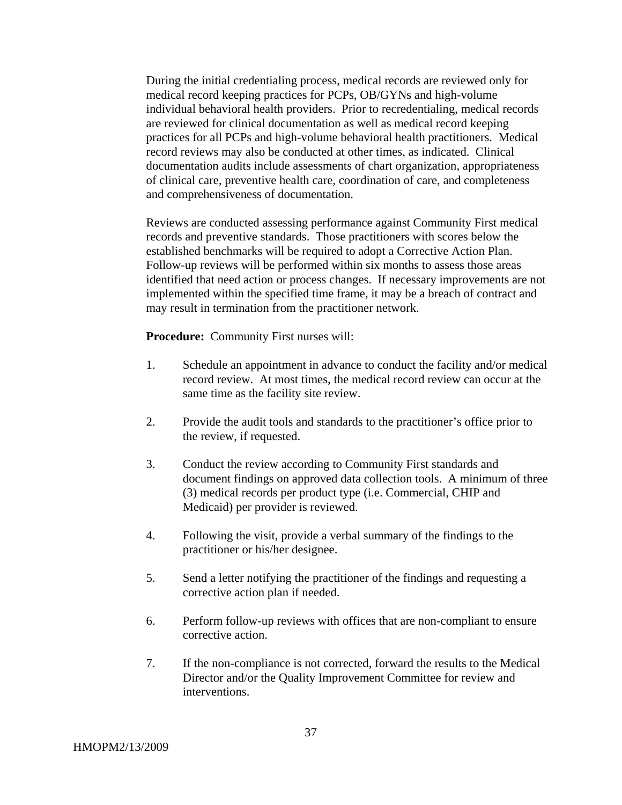During the initial credentialing process, medical records are reviewed only for medical record keeping practices for PCPs, OB/GYNs and high-volume individual behavioral health providers. Prior to recredentialing, medical records are reviewed for clinical documentation as well as medical record keeping practices for all PCPs and high-volume behavioral health practitioners. Medical record reviews may also be conducted at other times, as indicated. Clinical documentation audits include assessments of chart organization, appropriateness of clinical care, preventive health care, coordination of care, and completeness and comprehensiveness of documentation.

Reviews are conducted assessing performance against Community First medical records and preventive standards. Those practitioners with scores below the established benchmarks will be required to adopt a Corrective Action Plan. Follow-up reviews will be performed within six months to assess those areas identified that need action or process changes. If necessary improvements are not implemented within the specified time frame, it may be a breach of contract and may result in termination from the practitioner network.

**Procedure:** Community First nurses will:

- 1. Schedule an appointment in advance to conduct the facility and/or medical record review. At most times, the medical record review can occur at the same time as the facility site review.
- 2. Provide the audit tools and standards to the practitioner's office prior to the review, if requested.
- 3. Conduct the review according to Community First standards and document findings on approved data collection tools. A minimum of three (3) medical records per product type (i.e. Commercial, CHIP and Medicaid) per provider is reviewed.
- 4. Following the visit, provide a verbal summary of the findings to the practitioner or his/her designee.
- 5. Send a letter notifying the practitioner of the findings and requesting a corrective action plan if needed.
- 6. Perform follow-up reviews with offices that are non-compliant to ensure corrective action.
- 7. If the non-compliance is not corrected, forward the results to the Medical Director and/or the Quality Improvement Committee for review and interventions.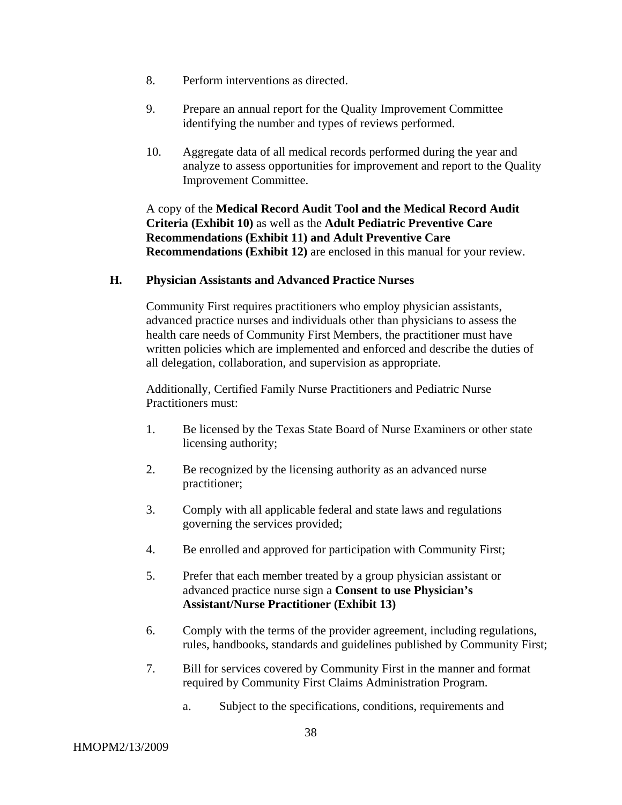- 8. Perform interventions as directed.
- 9. Prepare an annual report for the Quality Improvement Committee identifying the number and types of reviews performed.
- 10. Aggregate data of all medical records performed during the year and analyze to assess opportunities for improvement and report to the Quality Improvement Committee.

A copy of the **Medical Record Audit Tool and the Medical Record Audit Criteria (Exhibit 10)** as well as the **Adult Pediatric Preventive Care Recommendations (Exhibit 11) and Adult Preventive Care Recommendations (Exhibit 12)** are enclosed in this manual for your review.

#### **H. Physician Assistants and Advanced Practice Nurses**

Community First requires practitioners who employ physician assistants, advanced practice nurses and individuals other than physicians to assess the health care needs of Community First Members, the practitioner must have written policies which are implemented and enforced and describe the duties of all delegation, collaboration, and supervision as appropriate.

Additionally, Certified Family Nurse Practitioners and Pediatric Nurse Practitioners must:

- 1. Be licensed by the Texas State Board of Nurse Examiners or other state licensing authority;
- 2. Be recognized by the licensing authority as an advanced nurse practitioner;
- 3. Comply with all applicable federal and state laws and regulations governing the services provided;
- 4. Be enrolled and approved for participation with Community First;
- 5. Prefer that each member treated by a group physician assistant or advanced practice nurse sign a **Consent to use Physician's Assistant/Nurse Practitioner (Exhibit 13)**
- 6. Comply with the terms of the provider agreement, including regulations, rules, handbooks, standards and guidelines published by Community First;
- 7. Bill for services covered by Community First in the manner and format required by Community First Claims Administration Program.
	- a. Subject to the specifications, conditions, requirements and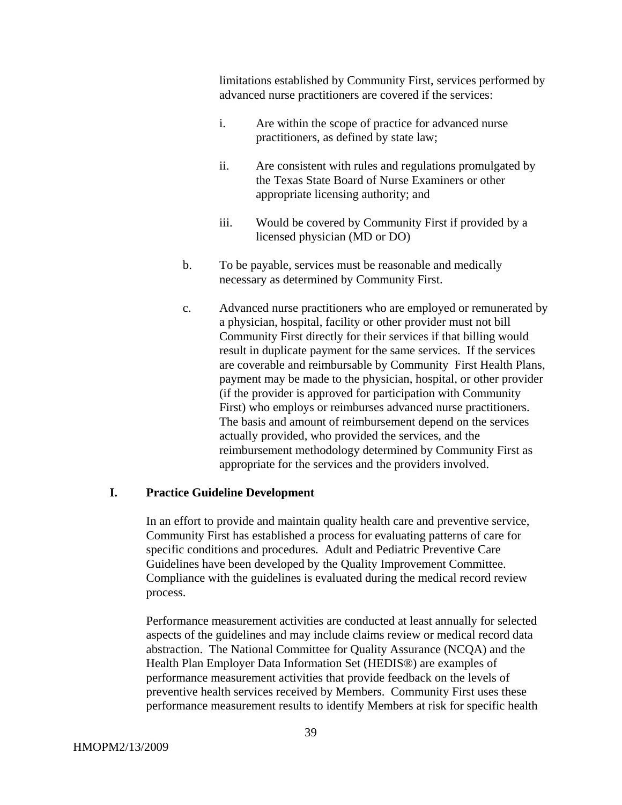limitations established by Community First, services performed by advanced nurse practitioners are covered if the services:

- i. Are within the scope of practice for advanced nurse practitioners, as defined by state law;
- ii. Are consistent with rules and regulations promulgated by the Texas State Board of Nurse Examiners or other appropriate licensing authority; and
- iii. Would be covered by Community First if provided by a licensed physician (MD or DO)
- b. To be payable, services must be reasonable and medically necessary as determined by Community First.
- c. Advanced nurse practitioners who are employed or remunerated by a physician, hospital, facility or other provider must not bill Community First directly for their services if that billing would result in duplicate payment for the same services. If the services are coverable and reimbursable by Community First Health Plans, payment may be made to the physician, hospital, or other provider (if the provider is approved for participation with Community First) who employs or reimburses advanced nurse practitioners. The basis and amount of reimbursement depend on the services actually provided, who provided the services, and the reimbursement methodology determined by Community First as appropriate for the services and the providers involved.

### **I. Practice Guideline Development**

In an effort to provide and maintain quality health care and preventive service, Community First has established a process for evaluating patterns of care for specific conditions and procedures. Adult and Pediatric Preventive Care Guidelines have been developed by the Quality Improvement Committee. Compliance with the guidelines is evaluated during the medical record review process.

Performance measurement activities are conducted at least annually for selected aspects of the guidelines and may include claims review or medical record data abstraction. The National Committee for Quality Assurance (NCQA) and the Health Plan Employer Data Information Set (HEDIS®) are examples of performance measurement activities that provide feedback on the levels of preventive health services received by Members. Community First uses these performance measurement results to identify Members at risk for specific health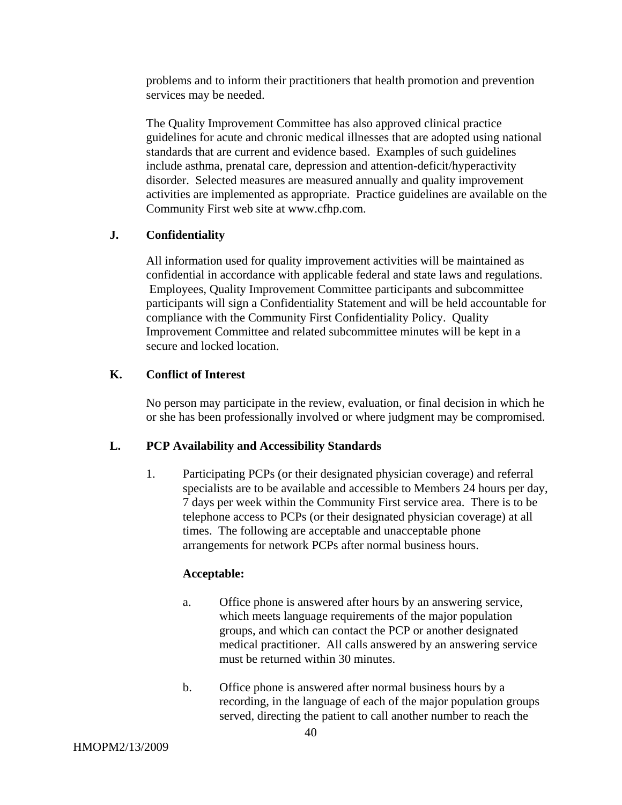problems and to inform their practitioners that health promotion and prevention services may be needed.

The Quality Improvement Committee has also approved clinical practice guidelines for acute and chronic medical illnesses that are adopted using national standards that are current and evidence based. Examples of such guidelines include asthma, prenatal care, depression and attention-deficit/hyperactivity disorder. Selected measures are measured annually and quality improvement activities are implemented as appropriate. Practice guidelines are available on the Community First web site at www.cfhp.com.

#### **J. Confidentiality**

All information used for quality improvement activities will be maintained as confidential in accordance with applicable federal and state laws and regulations. Employees, Quality Improvement Committee participants and subcommittee participants will sign a Confidentiality Statement and will be held accountable for compliance with the Community First Confidentiality Policy. Quality Improvement Committee and related subcommittee minutes will be kept in a secure and locked location.

#### **K. Conflict of Interest**

No person may participate in the review, evaluation, or final decision in which he or she has been professionally involved or where judgment may be compromised.

#### **L. PCP Availability and Accessibility Standards**

1. Participating PCPs (or their designated physician coverage) and referral specialists are to be available and accessible to Members 24 hours per day, 7 days per week within the Community First service area. There is to be telephone access to PCPs (or their designated physician coverage) at all times. The following are acceptable and unacceptable phone arrangements for network PCPs after normal business hours.

#### **Acceptable:**

- a. Office phone is answered after hours by an answering service, which meets language requirements of the major population groups, and which can contact the PCP or another designated medical practitioner. All calls answered by an answering service must be returned within 30 minutes.
- b. Office phone is answered after normal business hours by a recording, in the language of each of the major population groups served, directing the patient to call another number to reach the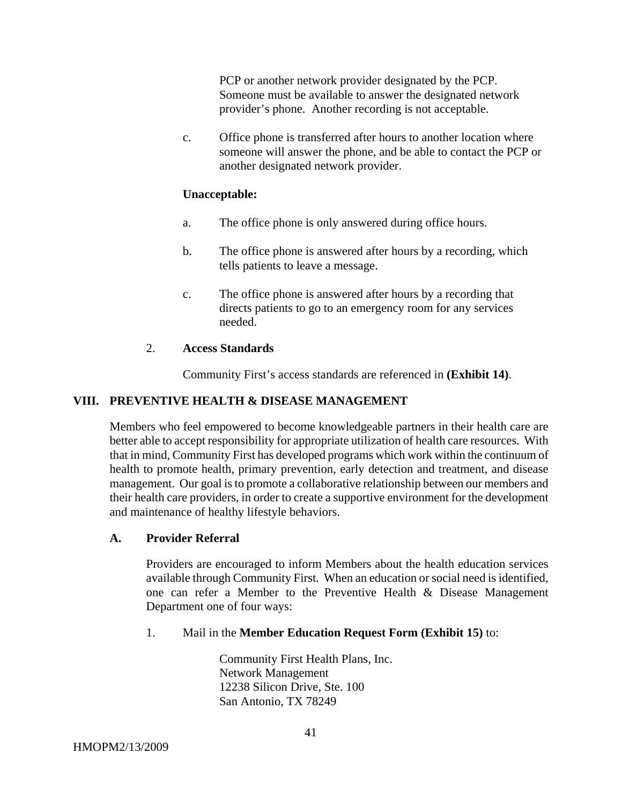PCP or another network provider designated by the PCP. Someone must be available to answer the designated network provider's phone. Another recording is not acceptable.

c. Office phone is transferred after hours to another location where someone will answer the phone, and be able to contact the PCP or another designated network provider.

#### **Unacceptable:**

- a. The office phone is only answered during office hours.
- b. The office phone is answered after hours by a recording, which tells patients to leave a message.
- c. The office phone is answered after hours by a recording that directs patients to go to an emergency room for any services needed.

### 2. **Access Standards**

Community First's access standards are referenced in **(Exhibit 14)**.

### **VIII. PREVENTIVE HEALTH & DISEASE MANAGEMENT**

Members who feel empowered to become knowledgeable partners in their health care are better able to accept responsibility for appropriate utilization of health care resources. With that in mind, Community First has developed programs which work within the continuum of health to promote health, primary prevention, early detection and treatment, and disease management. Our goal is to promote a collaborative relationship between our members and their health care providers, in order to create a supportive environment for the development and maintenance of healthy lifestyle behaviors.

#### **A. Provider Referral**

Providers are encouraged to inform Members about the health education services available through Community First. When an education or social need is identified, one can refer a Member to the Preventive Health & Disease Management Department one of four ways:

#### 1. Mail in the **Member Education Request Form (Exhibit 15)** to:

 Community First Health Plans, Inc. Network Management 12238 Silicon Drive, Ste. 100 San Antonio, TX 78249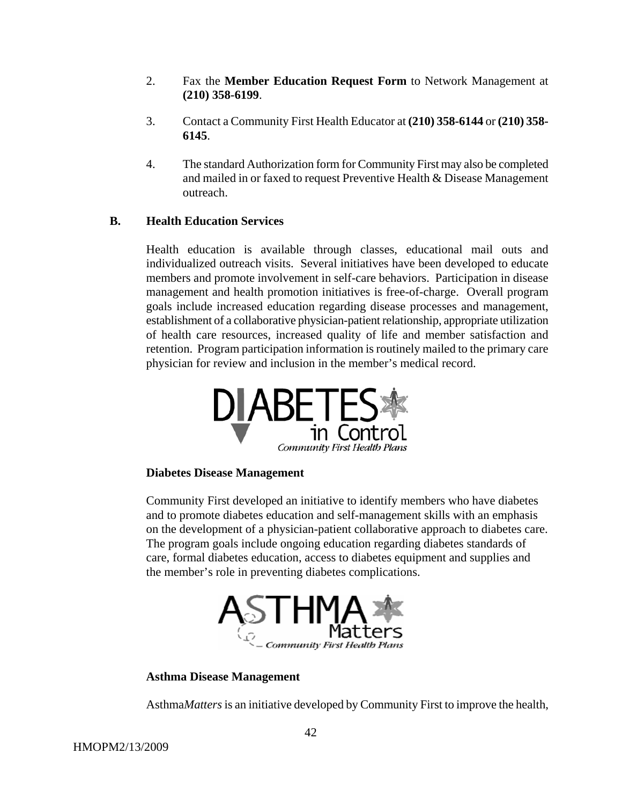- 2. Fax the **Member Education Request Form** to Network Management at **(210) 358-6199**.
- 3. Contact a Community First Health Educator at **(210) 358-6144** or **(210) 358- 6145**.
- 4. The standard Authorization form for Community First may also be completed and mailed in or faxed to request Preventive Health & Disease Management outreach.

# **B. Health Education Services**

Health education is available through classes, educational mail outs and individualized outreach visits. Several initiatives have been developed to educate members and promote involvement in self-care behaviors. Participation in disease management and health promotion initiatives is free-of-charge. Overall program goals include increased education regarding disease processes and management, establishment of a collaborative physician-patient relationship, appropriate utilization of health care resources, increased quality of life and member satisfaction and retention. Program participation information is routinely mailed to the primary care physician for review and inclusion in the member's medical record.



#### **Diabetes Disease Management**

Community First developed an initiative to identify members who have diabetes and to promote diabetes education and self-management skills with an emphasis on the development of a physician-patient collaborative approach to diabetes care. The program goals include ongoing education regarding diabetes standards of care, formal diabetes education, access to diabetes equipment and supplies and the member's role in preventing diabetes complications.



#### **Asthma Disease Management**

Asthma*Matters* is an initiative developed by Community First to improve the health,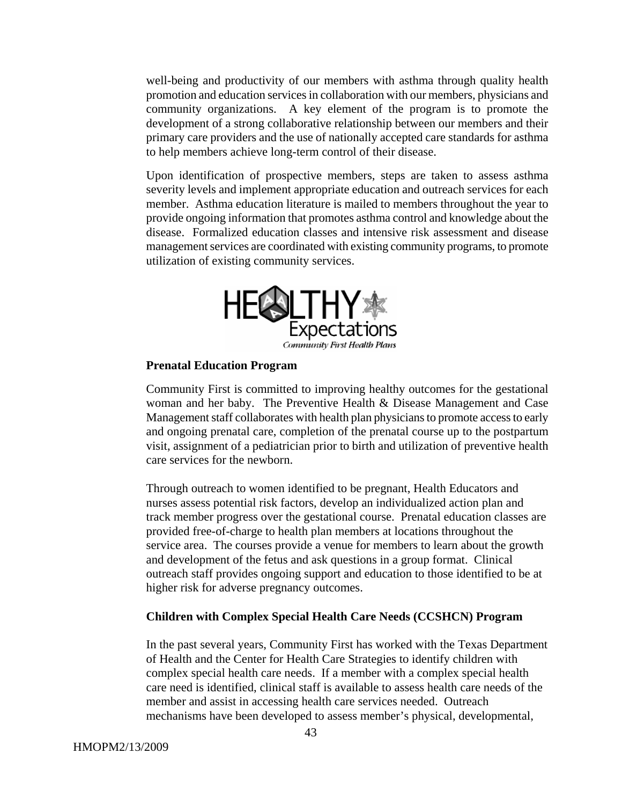well-being and productivity of our members with asthma through quality health promotion and education services in collaboration with our members, physicians and community organizations. A key element of the program is to promote the development of a strong collaborative relationship between our members and their primary care providers and the use of nationally accepted care standards for asthma to help members achieve long-term control of their disease.

Upon identification of prospective members, steps are taken to assess asthma severity levels and implement appropriate education and outreach services for each member. Asthma education literature is mailed to members throughout the year to provide ongoing information that promotes asthma control and knowledge about the disease. Formalized education classes and intensive risk assessment and disease management services are coordinated with existing community programs, to promote utilization of existing community services.



#### **Prenatal Education Program**

Community First is committed to improving healthy outcomes for the gestational woman and her baby. The Preventive Health & Disease Management and Case Management staff collaborates with health plan physicians to promote access to early and ongoing prenatal care, completion of the prenatal course up to the postpartum visit, assignment of a pediatrician prior to birth and utilization of preventive health care services for the newborn.

Through outreach to women identified to be pregnant, Health Educators and nurses assess potential risk factors, develop an individualized action plan and track member progress over the gestational course. Prenatal education classes are provided free-of-charge to health plan members at locations throughout the service area. The courses provide a venue for members to learn about the growth and development of the fetus and ask questions in a group format. Clinical outreach staff provides ongoing support and education to those identified to be at higher risk for adverse pregnancy outcomes.

#### **Children with Complex Special Health Care Needs (CCSHCN) Program**

In the past several years, Community First has worked with the Texas Department of Health and the Center for Health Care Strategies to identify children with complex special health care needs. If a member with a complex special health care need is identified, clinical staff is available to assess health care needs of the member and assist in accessing health care services needed. Outreach mechanisms have been developed to assess member's physical, developmental,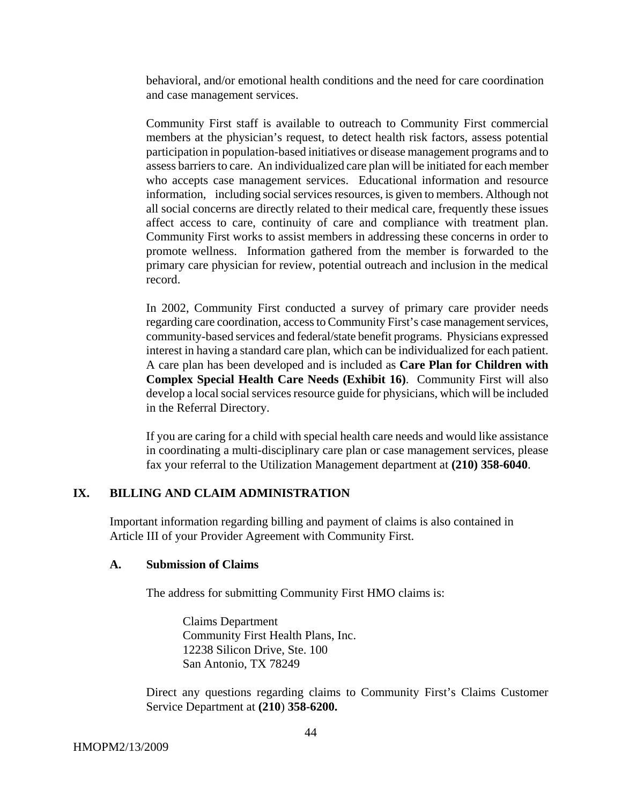behavioral, and/or emotional health conditions and the need for care coordination and case management services.

Community First staff is available to outreach to Community First commercial members at the physician's request, to detect health risk factors, assess potential participation in population-based initiatives or disease management programs and to assess barriers to care. An individualized care plan will be initiated for each member who accepts case management services. Educational information and resource information, including social services resources, is given to members. Although not all social concerns are directly related to their medical care, frequently these issues affect access to care, continuity of care and compliance with treatment plan. Community First works to assist members in addressing these concerns in order to promote wellness. Information gathered from the member is forwarded to the primary care physician for review, potential outreach and inclusion in the medical record.

In 2002, Community First conducted a survey of primary care provider needs regarding care coordination, access to Community First's case management services, community-based services and federal/state benefit programs. Physicians expressed interest in having a standard care plan, which can be individualized for each patient. A care plan has been developed and is included as **Care Plan for Children with Complex Special Health Care Needs (Exhibit 16)**. Community First will also develop a local social services resource guide for physicians, which will be included in the Referral Directory.

If you are caring for a child with special health care needs and would like assistance in coordinating a multi-disciplinary care plan or case management services, please fax your referral to the Utilization Management department at **(210) 358-6040**.

### **IX. BILLING AND CLAIM ADMINISTRATION**

Important information regarding billing and payment of claims is also contained in Article III of your Provider Agreement with Community First.

#### **A. Submission of Claims**

The address for submitting Community First HMO claims is:

Claims Department Community First Health Plans, Inc. 12238 Silicon Drive, Ste. 100 San Antonio, TX 78249

Direct any questions regarding claims to Community First's Claims Customer Service Department at **(210**) **358-6200.**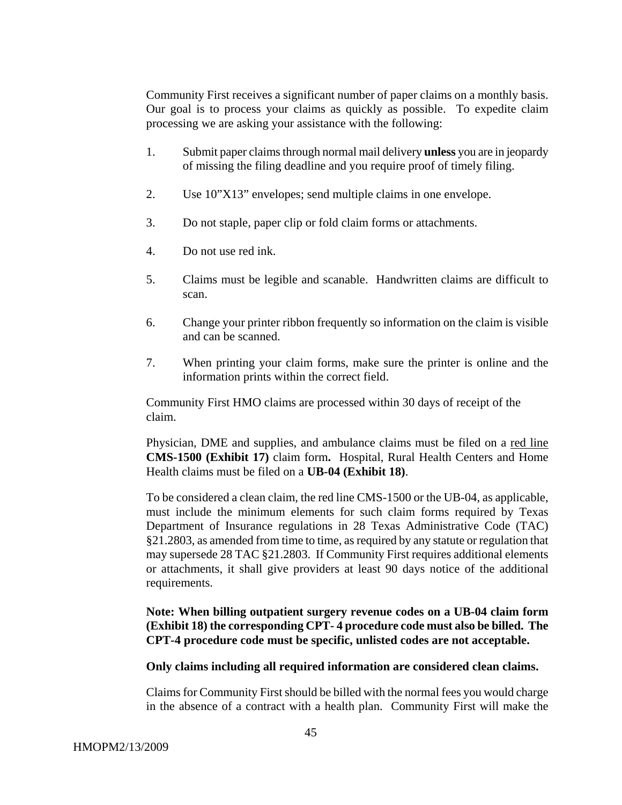Community First receives a significant number of paper claims on a monthly basis. Our goal is to process your claims as quickly as possible. To expedite claim processing we are asking your assistance with the following:

- 1. Submit paper claims through normal mail delivery **unless** you are in jeopardy of missing the filing deadline and you require proof of timely filing.
- 2. Use 10"X13" envelopes; send multiple claims in one envelope.
- 3. Do not staple, paper clip or fold claim forms or attachments.
- 4. Do not use red ink.
- 5. Claims must be legible and scanable. Handwritten claims are difficult to scan.
- 6. Change your printer ribbon frequently so information on the claim is visible and can be scanned.
- 7. When printing your claim forms, make sure the printer is online and the information prints within the correct field.

Community First HMO claims are processed within 30 days of receipt of the claim.

Physician, DME and supplies, and ambulance claims must be filed on a red line **CMS-1500 (Exhibit 17)** claim form**.** Hospital, Rural Health Centers and Home Health claims must be filed on a **UB-04 (Exhibit 18)**.

To be considered a clean claim, the red line CMS-1500 or the UB-04, as applicable, must include the minimum elements for such claim forms required by Texas Department of Insurance regulations in 28 Texas Administrative Code (TAC) §21.2803, as amended from time to time, as required by any statute or regulation that may supersede 28 TAC §21.2803. If Community First requires additional elements or attachments, it shall give providers at least 90 days notice of the additional requirements.

**Note: When billing outpatient surgery revenue codes on a UB-04 claim form (Exhibit 18) the corresponding CPT- 4 procedure code must also be billed. The CPT-4 procedure code must be specific, unlisted codes are not acceptable.** 

#### **Only claims including all required information are considered clean claims.**

Claims for Community First should be billed with the normal fees you would charge in the absence of a contract with a health plan. Community First will make the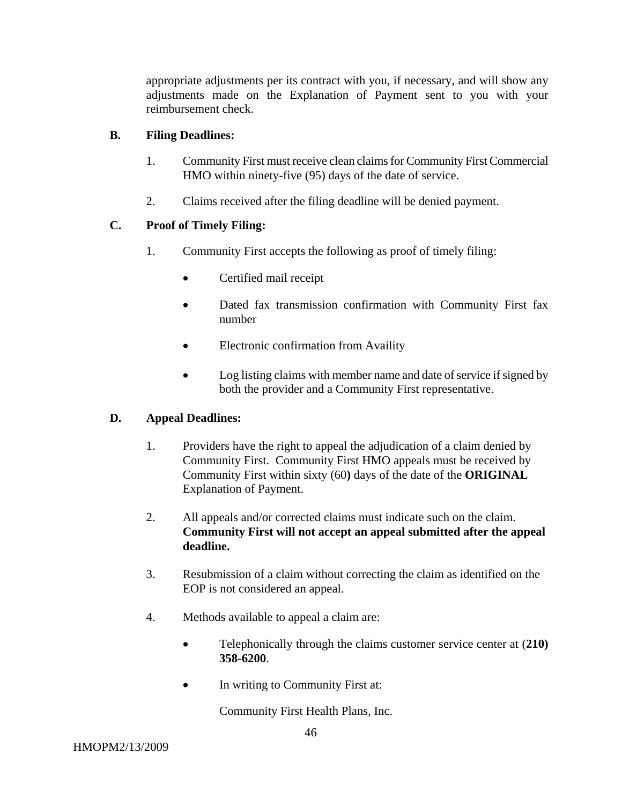appropriate adjustments per its contract with you, if necessary, and will show any adjustments made on the Explanation of Payment sent to you with your reimbursement check.

# **B. Filing Deadlines:**

- 1. Community First must receive clean claims for Community First Commercial HMO within ninety-five (95) days of the date of service.
- 2. Claims received after the filing deadline will be denied payment.

# **C. Proof of Timely Filing:**

- 1. Community First accepts the following as proof of timely filing:
	- Certified mail receipt
	- Dated fax transmission confirmation with Community First fax number
	- Electronic confirmation from Availity
	- Log listing claims with member name and date of service if signed by both the provider and a Community First representative.

# **D. Appeal Deadlines:**

- 1. Providers have the right to appeal the adjudication of a claim denied by Community First. Community First HMO appeals must be received by Community First within sixty (60**)** days of the date of the **ORIGINAL** Explanation of Payment.
- 2. All appeals and/or corrected claims must indicate such on the claim. **Community First will not accept an appeal submitted after the appeal deadline.**
- 3. Resubmission of a claim without correcting the claim as identified on the EOP is not considered an appeal.
- 4. Methods available to appeal a claim are:
	- Telephonically through the claims customer service center at (**210) 358-6200**.
	- In writing to Community First at:

Community First Health Plans, Inc.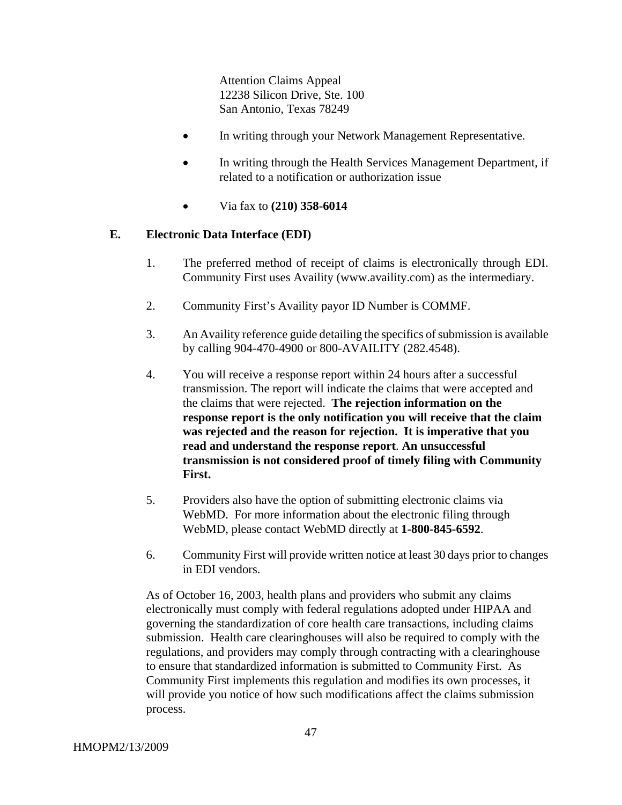Attention Claims Appeal 12238 Silicon Drive, Ste. 100 San Antonio, Texas 78249

- In writing through your Network Management Representative.
- In writing through the Health Services Management Department, if related to a notification or authorization issue
- Via fax to **(210) 358-6014**

#### **E. Electronic Data Interface (EDI)**

- 1. The preferred method of receipt of claims is electronically through EDI. Community First uses Availity (www.availity.com) as the intermediary.
- 2. Community First's Availity payor ID Number is COMMF.
- 3. An Availity reference guide detailing the specifics of submission is available by calling 904-470-4900 or 800-AVAILITY (282.4548).
- 4. You will receive a response report within 24 hours after a successful transmission. The report will indicate the claims that were accepted and the claims that were rejected. **The rejection information on the response report is the only notification you will receive that the claim was rejected and the reason for rejection. It is imperative that you read and understand the response report**. **An unsuccessful transmission is not considered proof of timely filing with Community First.**
- 5. Providers also have the option of submitting electronic claims via WebMD. For more information about the electronic filing through WebMD, please contact WebMD directly at **1-800-845-6592**.
- 6. Community First will provide written notice at least 30 days prior to changes in EDI vendors.

As of October 16, 2003, health plans and providers who submit any claims electronically must comply with federal regulations adopted under HIPAA and governing the standardization of core health care transactions, including claims submission. Health care clearinghouses will also be required to comply with the regulations, and providers may comply through contracting with a clearinghouse to ensure that standardized information is submitted to Community First. As Community First implements this regulation and modifies its own processes, it will provide you notice of how such modifications affect the claims submission process.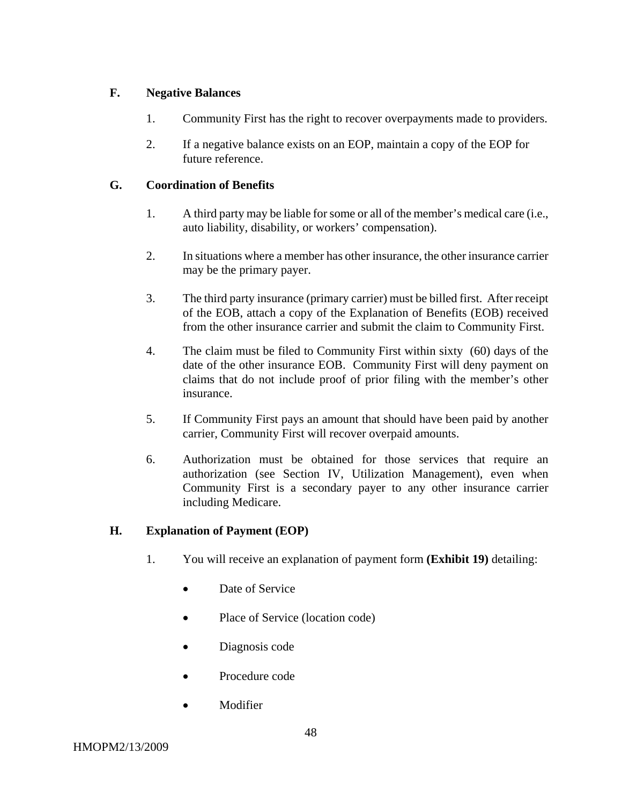# **F. Negative Balances**

- 1. Community First has the right to recover overpayments made to providers.
- 2. If a negative balance exists on an EOP, maintain a copy of the EOP for future reference.

# **G. Coordination of Benefits**

- 1. A third party may be liable for some or all of the member's medical care (i.e., auto liability, disability, or workers' compensation).
- 2. In situations where a member has other insurance, the other insurance carrier may be the primary payer.
- 3. The third party insurance (primary carrier) must be billed first. After receipt of the EOB, attach a copy of the Explanation of Benefits (EOB) received from the other insurance carrier and submit the claim to Community First.
- 4. The claim must be filed to Community First within sixty (60) days of the date of the other insurance EOB. Community First will deny payment on claims that do not include proof of prior filing with the member's other insurance.
- 5. If Community First pays an amount that should have been paid by another carrier, Community First will recover overpaid amounts.
- 6. Authorization must be obtained for those services that require an authorization (see Section IV, Utilization Management), even when Community First is a secondary payer to any other insurance carrier including Medicare.

# **H. Explanation of Payment (EOP)**

- 1. You will receive an explanation of payment form **(Exhibit 19)** detailing:
	- Date of Service
	- Place of Service (location code)
	- Diagnosis code
	- Procedure code
	- Modifier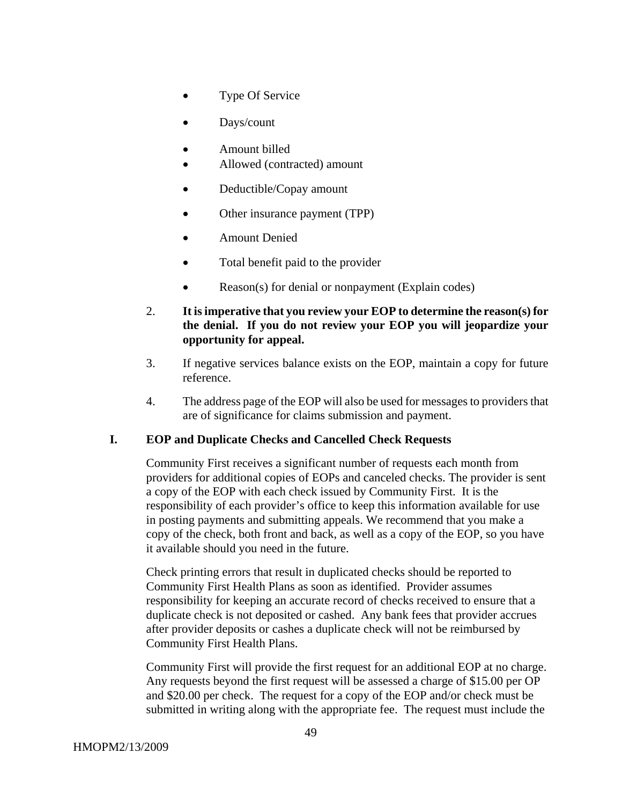- Type Of Service
- Days/count
- Amount billed
- Allowed (contracted) amount
- Deductible/Copay amount
- Other insurance payment (TPP)
- Amount Denied
- Total benefit paid to the provider
- Reason(s) for denial or nonpayment (Explain codes)
- 2. **It is imperative that you review your EOP to determine the reason(s) for the denial. If you do not review your EOP you will jeopardize your opportunity for appeal.**
- 3. If negative services balance exists on the EOP, maintain a copy for future reference.
- 4. The address page of the EOP will also be used for messages to providers that are of significance for claims submission and payment.

#### **I. EOP and Duplicate Checks and Cancelled Check Requests**

Community First receives a significant number of requests each month from providers for additional copies of EOPs and canceled checks. The provider is sent a copy of the EOP with each check issued by Community First. It is the responsibility of each provider's office to keep this information available for use in posting payments and submitting appeals. We recommend that you make a copy of the check, both front and back, as well as a copy of the EOP, so you have it available should you need in the future.

Check printing errors that result in duplicated checks should be reported to Community First Health Plans as soon as identified. Provider assumes responsibility for keeping an accurate record of checks received to ensure that a duplicate check is not deposited or cashed. Any bank fees that provider accrues after provider deposits or cashes a duplicate check will not be reimbursed by Community First Health Plans.

Community First will provide the first request for an additional EOP at no charge. Any requests beyond the first request will be assessed a charge of \$15.00 per OP and \$20.00 per check. The request for a copy of the EOP and/or check must be submitted in writing along with the appropriate fee. The request must include the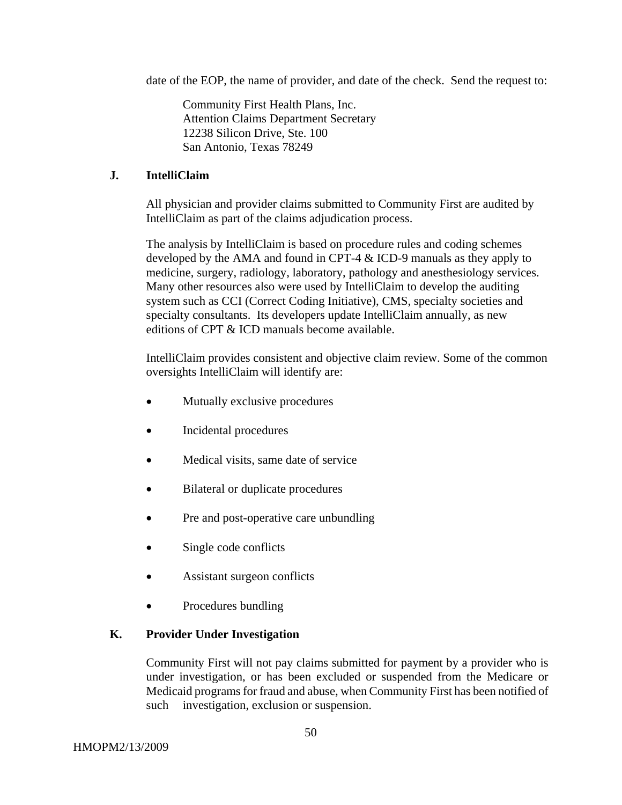date of the EOP, the name of provider, and date of the check. Send the request to:

Community First Health Plans, Inc. Attention Claims Department Secretary 12238 Silicon Drive, Ste. 100 San Antonio, Texas 78249

### **J. IntelliClaim**

All physician and provider claims submitted to Community First are audited by IntelliClaim as part of the claims adjudication process.

The analysis by IntelliClaim is based on procedure rules and coding schemes developed by the AMA and found in CPT-4 & ICD-9 manuals as they apply to medicine, surgery, radiology, laboratory, pathology and anesthesiology services. Many other resources also were used by IntelliClaim to develop the auditing system such as CCI (Correct Coding Initiative), CMS, specialty societies and specialty consultants. Its developers update IntelliClaim annually, as new editions of CPT & ICD manuals become available.

IntelliClaim provides consistent and objective claim review. Some of the common oversights IntelliClaim will identify are:

- Mutually exclusive procedures
- Incidental procedures
- Medical visits, same date of service
- Bilateral or duplicate procedures
- Pre and post-operative care unbundling
- Single code conflicts
- Assistant surgeon conflicts
- Procedures bundling

# **K. Provider Under Investigation**

Community First will not pay claims submitted for payment by a provider who is under investigation, or has been excluded or suspended from the Medicare or Medicaid programs for fraud and abuse, when Community First has been notified of such investigation, exclusion or suspension.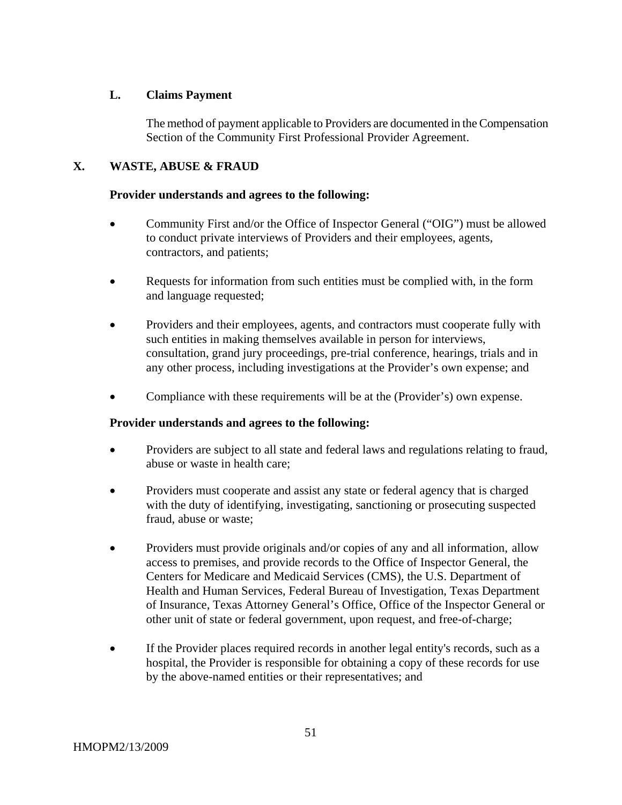# **L. Claims Payment**

The method of payment applicable to Providers are documented in the Compensation Section of the Community First Professional Provider Agreement.

# **X. WASTE, ABUSE & FRAUD**

### **Provider understands and agrees to the following:**

- Community First and/or the Office of Inspector General ("OIG") must be allowed to conduct private interviews of Providers and their employees, agents, contractors, and patients;
- Requests for information from such entities must be complied with, in the form and language requested;
- Providers and their employees, agents, and contractors must cooperate fully with such entities in making themselves available in person for interviews, consultation, grand jury proceedings, pre-trial conference, hearings, trials and in any other process, including investigations at the Provider's own expense; and
- Compliance with these requirements will be at the (Provider's) own expense.

# **Provider understands and agrees to the following:**

- Providers are subject to all state and federal laws and regulations relating to fraud, abuse or waste in health care;
- Providers must cooperate and assist any state or federal agency that is charged with the duty of identifying, investigating, sanctioning or prosecuting suspected fraud, abuse or waste;
- Providers must provide originals and/or copies of any and all information, allow access to premises, and provide records to the Office of Inspector General, the Centers for Medicare and Medicaid Services (CMS), the U.S. Department of Health and Human Services, Federal Bureau of Investigation, Texas Department of Insurance, Texas Attorney General's Office, Office of the Inspector General or other unit of state or federal government, upon request, and free-of-charge;
- If the Provider places required records in another legal entity's records, such as a hospital, the Provider is responsible for obtaining a copy of these records for use by the above-named entities or their representatives; and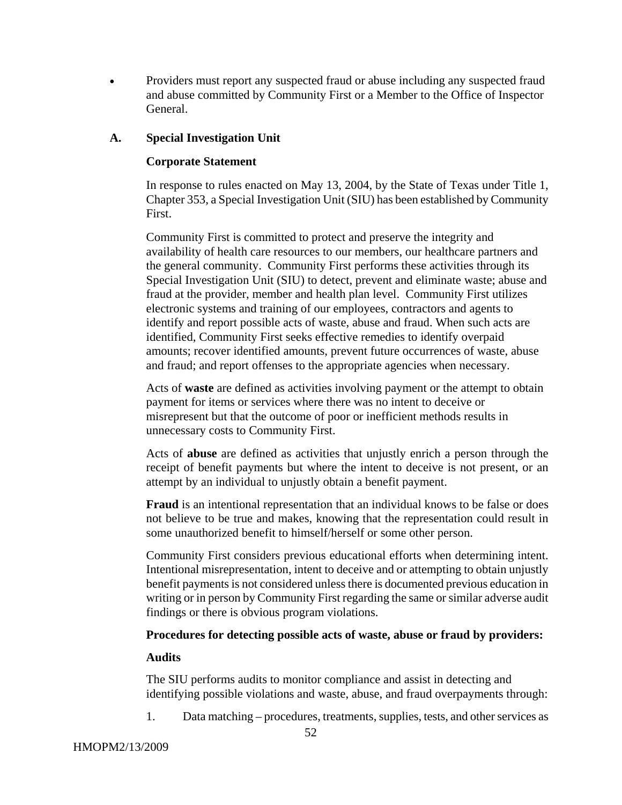• Providers must report any suspected fraud or abuse including any suspected fraud and abuse committed by Community First or a Member to the Office of Inspector General.

# **A. Special Investigation Unit**

### **Corporate Statement**

In response to rules enacted on May 13, 2004, by the State of Texas under Title 1, Chapter 353, a Special Investigation Unit (SIU) has been established by Community First.

Community First is committed to protect and preserve the integrity and availability of health care resources to our members, our healthcare partners and the general community. Community First performs these activities through its Special Investigation Unit (SIU) to detect, prevent and eliminate waste; abuse and fraud at the provider, member and health plan level. Community First utilizes electronic systems and training of our employees, contractors and agents to identify and report possible acts of waste, abuse and fraud. When such acts are identified, Community First seeks effective remedies to identify overpaid amounts; recover identified amounts, prevent future occurrences of waste, abuse and fraud; and report offenses to the appropriate agencies when necessary.

Acts of **waste** are defined as activities involving payment or the attempt to obtain payment for items or services where there was no intent to deceive or misrepresent but that the outcome of poor or inefficient methods results in unnecessary costs to Community First.

Acts of **abuse** are defined as activities that unjustly enrich a person through the receipt of benefit payments but where the intent to deceive is not present, or an attempt by an individual to unjustly obtain a benefit payment.

**Fraud** is an intentional representation that an individual knows to be false or does not believe to be true and makes, knowing that the representation could result in some unauthorized benefit to himself/herself or some other person.

Community First considers previous educational efforts when determining intent. Intentional misrepresentation, intent to deceive and or attempting to obtain unjustly benefit payments is not considered unless there is documented previous education in writing or in person by Community First regarding the same or similar adverse audit findings or there is obvious program violations.

#### **Procedures for detecting possible acts of waste, abuse or fraud by providers:**

#### **Audits**

The SIU performs audits to monitor compliance and assist in detecting and identifying possible violations and waste, abuse, and fraud overpayments through:

1. Data matching – procedures, treatments, supplies, tests, and other services as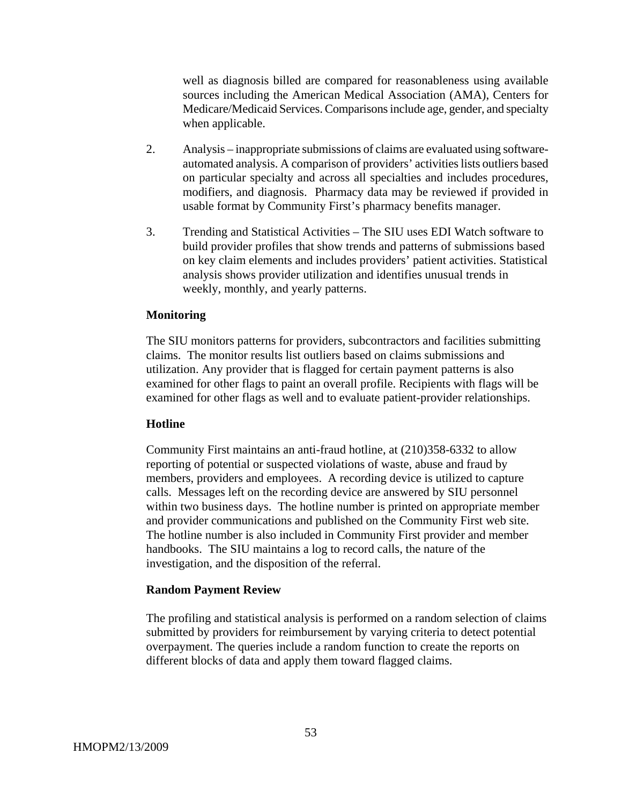well as diagnosis billed are compared for reasonableness using available sources including the American Medical Association (AMA), Centers for Medicare/Medicaid Services. Comparisons include age, gender, and specialty when applicable.

- 2. Analysis inappropriate submissions of claims are evaluated using softwareautomated analysis. A comparison of providers' activities lists outliers based on particular specialty and across all specialties and includes procedures, modifiers, and diagnosis. Pharmacy data may be reviewed if provided in usable format by Community First's pharmacy benefits manager.
- 3. Trending and Statistical Activities The SIU uses EDI Watch software to build provider profiles that show trends and patterns of submissions based on key claim elements and includes providers' patient activities. Statistical analysis shows provider utilization and identifies unusual trends in weekly, monthly, and yearly patterns.

#### **Monitoring**

The SIU monitors patterns for providers, subcontractors and facilities submitting claims. The monitor results list outliers based on claims submissions and utilization. Any provider that is flagged for certain payment patterns is also examined for other flags to paint an overall profile. Recipients with flags will be examined for other flags as well and to evaluate patient-provider relationships.

#### **Hotline**

Community First maintains an anti-fraud hotline, at (210)358-6332 to allow reporting of potential or suspected violations of waste, abuse and fraud by members, providers and employees. A recording device is utilized to capture calls. Messages left on the recording device are answered by SIU personnel within two business days. The hotline number is printed on appropriate member and provider communications and published on the Community First web site. The hotline number is also included in Community First provider and member handbooks. The SIU maintains a log to record calls, the nature of the investigation, and the disposition of the referral.

#### **Random Payment Review**

The profiling and statistical analysis is performed on a random selection of claims submitted by providers for reimbursement by varying criteria to detect potential overpayment. The queries include a random function to create the reports on different blocks of data and apply them toward flagged claims.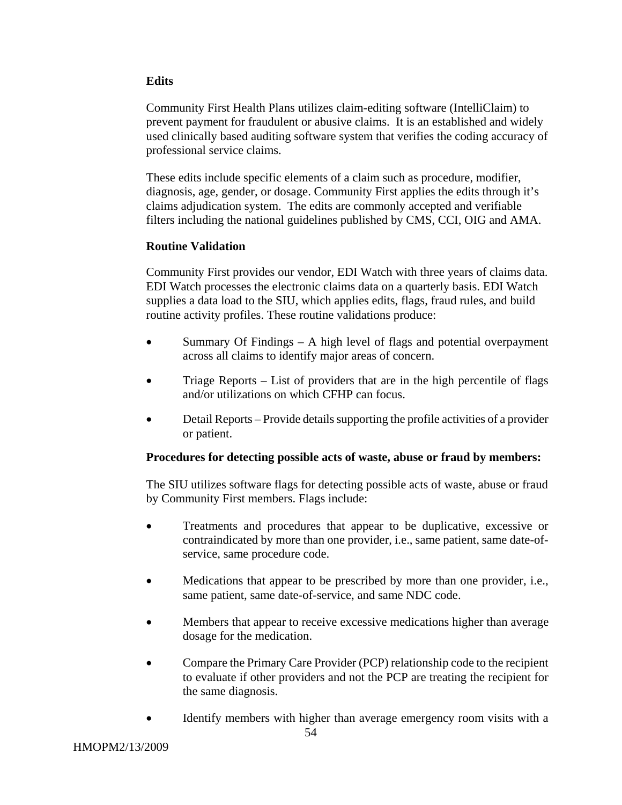# **Edits**

Community First Health Plans utilizes claim-editing software (IntelliClaim) to prevent payment for fraudulent or abusive claims. It is an established and widely used clinically based auditing software system that verifies the coding accuracy of professional service claims.

These edits include specific elements of a claim such as procedure, modifier, diagnosis, age, gender, or dosage. Community First applies the edits through it's claims adjudication system. The edits are commonly accepted and verifiable filters including the national guidelines published by CMS, CCI, OIG and AMA.

# **Routine Validation**

Community First provides our vendor, EDI Watch with three years of claims data. EDI Watch processes the electronic claims data on a quarterly basis. EDI Watch supplies a data load to the SIU, which applies edits, flags, fraud rules, and build routine activity profiles. These routine validations produce:

- Summary Of Findings A high level of flags and potential overpayment across all claims to identify major areas of concern.
- Triage Reports List of providers that are in the high percentile of flags and/or utilizations on which CFHP can focus.
- Detail Reports Provide details supporting the profile activities of a provider or patient.

#### **Procedures for detecting possible acts of waste, abuse or fraud by members:**

The SIU utilizes software flags for detecting possible acts of waste, abuse or fraud by Community First members. Flags include:

- Treatments and procedures that appear to be duplicative, excessive or contraindicated by more than one provider, i.e., same patient, same date-ofservice, same procedure code.
- Medications that appear to be prescribed by more than one provider, i.e., same patient, same date-of-service, and same NDC code.
- Members that appear to receive excessive medications higher than average dosage for the medication.
- Compare the Primary Care Provider (PCP) relationship code to the recipient to evaluate if other providers and not the PCP are treating the recipient for the same diagnosis.
- Identify members with higher than average emergency room visits with a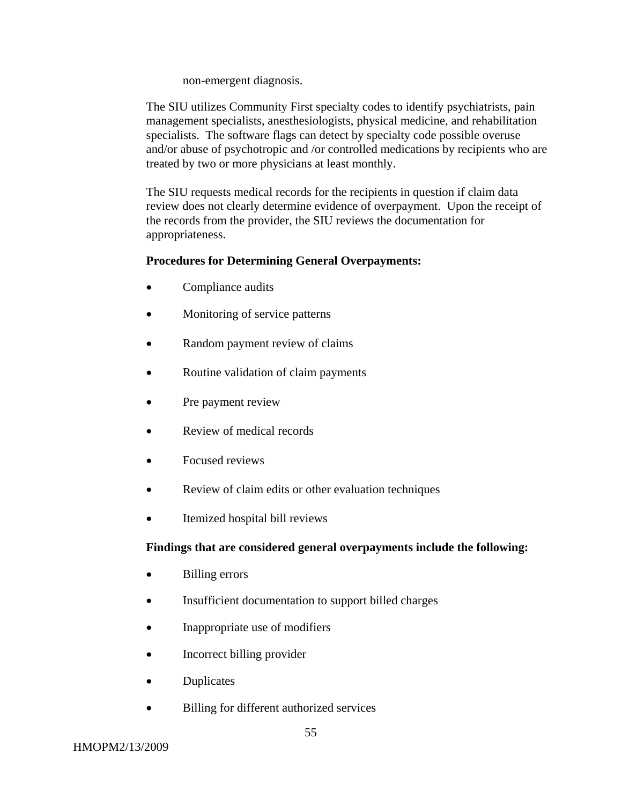non-emergent diagnosis.

The SIU utilizes Community First specialty codes to identify psychiatrists, pain management specialists, anesthesiologists, physical medicine, and rehabilitation specialists. The software flags can detect by specialty code possible overuse and/or abuse of psychotropic and /or controlled medications by recipients who are treated by two or more physicians at least monthly.

The SIU requests medical records for the recipients in question if claim data review does not clearly determine evidence of overpayment. Upon the receipt of the records from the provider, the SIU reviews the documentation for appropriateness.

### **Procedures for Determining General Overpayments:**

- Compliance audits
- Monitoring of service patterns
- Random payment review of claims
- Routine validation of claim payments
- Pre payment review
- Review of medical records
- Focused reviews
- Review of claim edits or other evaluation techniques
- Itemized hospital bill reviews

# **Findings that are considered general overpayments include the following:**

- Billing errors
- Insufficient documentation to support billed charges
- Inappropriate use of modifiers
- Incorrect billing provider
- Duplicates
- Billing for different authorized services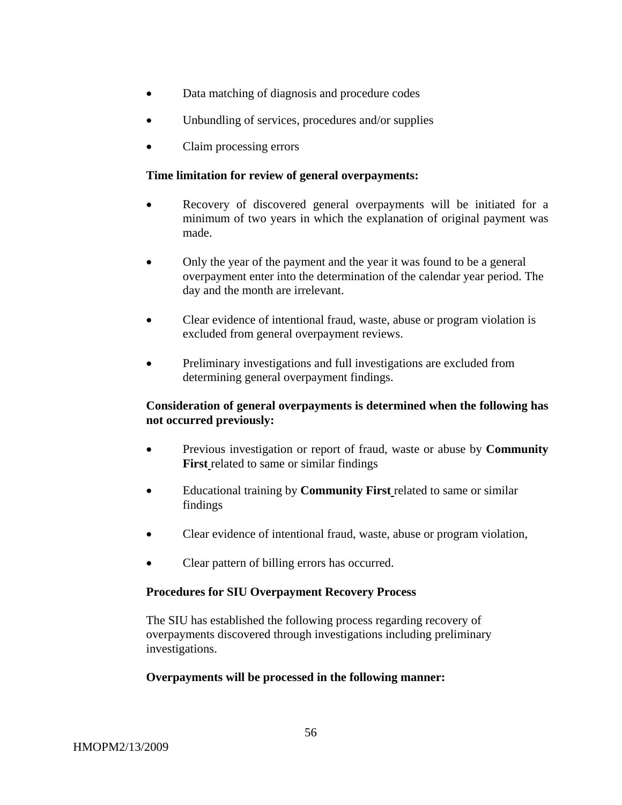- Data matching of diagnosis and procedure codes
- Unbundling of services, procedures and/or supplies
- Claim processing errors

#### **Time limitation for review of general overpayments:**

- Recovery of discovered general overpayments will be initiated for a minimum of two years in which the explanation of original payment was made.
- Only the year of the payment and the year it was found to be a general overpayment enter into the determination of the calendar year period. The day and the month are irrelevant.
- Clear evidence of intentional fraud, waste, abuse or program violation is excluded from general overpayment reviews.
- Preliminary investigations and full investigations are excluded from determining general overpayment findings.

### **Consideration of general overpayments is determined when the following has not occurred previously:**

- Previous investigation or report of fraud, waste or abuse by **Community First** related to same or similar findings
- Educational training by **Community First** related to same or similar findings
- Clear evidence of intentional fraud, waste, abuse or program violation,
- Clear pattern of billing errors has occurred.

#### **Procedures for SIU Overpayment Recovery Process**

The SIU has established the following process regarding recovery of overpayments discovered through investigations including preliminary investigations.

#### **Overpayments will be processed in the following manner:**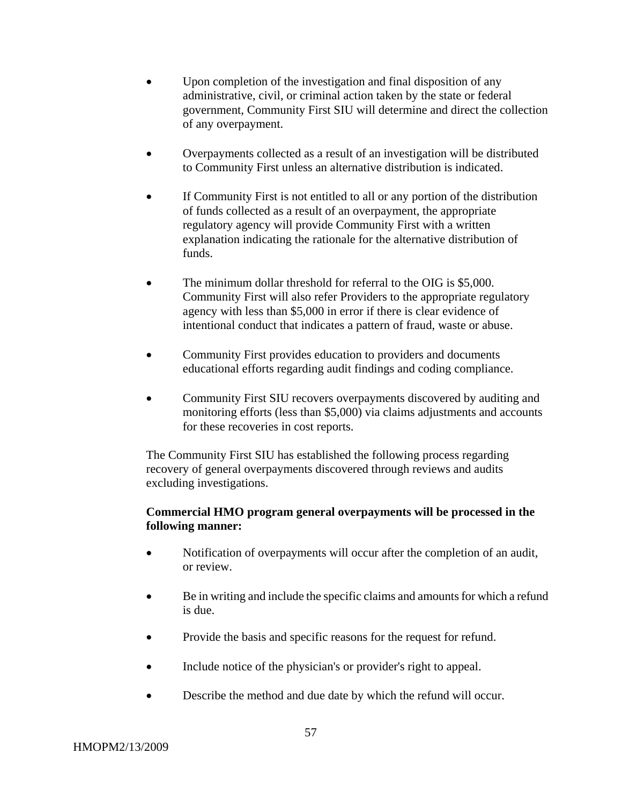- Upon completion of the investigation and final disposition of any administrative, civil, or criminal action taken by the state or federal government, Community First SIU will determine and direct the collection of any overpayment.
- Overpayments collected as a result of an investigation will be distributed to Community First unless an alternative distribution is indicated.
- If Community First is not entitled to all or any portion of the distribution of funds collected as a result of an overpayment, the appropriate regulatory agency will provide Community First with a written explanation indicating the rationale for the alternative distribution of funds.
- The minimum dollar threshold for referral to the OIG is \$5,000. Community First will also refer Providers to the appropriate regulatory agency with less than \$5,000 in error if there is clear evidence of intentional conduct that indicates a pattern of fraud, waste or abuse.
- Community First provides education to providers and documents educational efforts regarding audit findings and coding compliance.
- Community First SIU recovers overpayments discovered by auditing and monitoring efforts (less than \$5,000) via claims adjustments and accounts for these recoveries in cost reports.

The Community First SIU has established the following process regarding recovery of general overpayments discovered through reviews and audits excluding investigations.

# **Commercial HMO program general overpayments will be processed in the following manner:**

- Notification of overpayments will occur after the completion of an audit, or review.
- Be in writing and include the specific claims and amounts for which a refund is due.
- Provide the basis and specific reasons for the request for refund.
- Include notice of the physician's or provider's right to appeal.
- Describe the method and due date by which the refund will occur.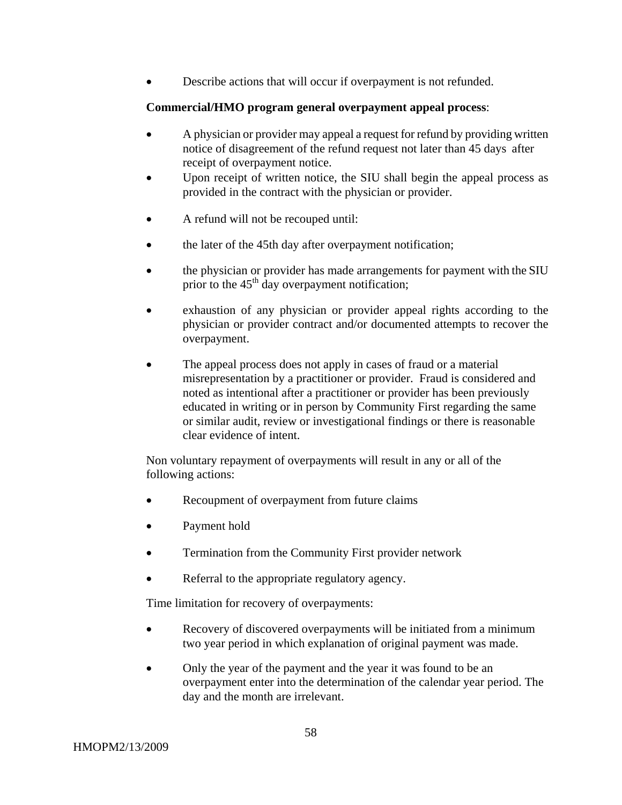Describe actions that will occur if overpayment is not refunded.

# **Commercial/HMO program general overpayment appeal process**:

- A physician or provider may appeal a request for refund by providing written notice of disagreement of the refund request not later than 45 days after receipt of overpayment notice.
- Upon receipt of written notice, the SIU shall begin the appeal process as provided in the contract with the physician or provider.
- A refund will not be recouped until:
- the later of the 45th day after overpayment notification;
- the physician or provider has made arrangements for payment with the SIU prior to the  $45<sup>th</sup>$  day overpayment notification;
- exhaustion of any physician or provider appeal rights according to the physician or provider contract and/or documented attempts to recover the overpayment.
- The appeal process does not apply in cases of fraud or a material misrepresentation by a practitioner or provider. Fraud is considered and noted as intentional after a practitioner or provider has been previously educated in writing or in person by Community First regarding the same or similar audit, review or investigational findings or there is reasonable clear evidence of intent.

Non voluntary repayment of overpayments will result in any or all of the following actions:

- Recoupment of overpayment from future claims
- Payment hold
- Termination from the Community First provider network
- Referral to the appropriate regulatory agency.

Time limitation for recovery of overpayments:

- Recovery of discovered overpayments will be initiated from a minimum two year period in which explanation of original payment was made.
- Only the year of the payment and the year it was found to be an overpayment enter into the determination of the calendar year period. The day and the month are irrelevant.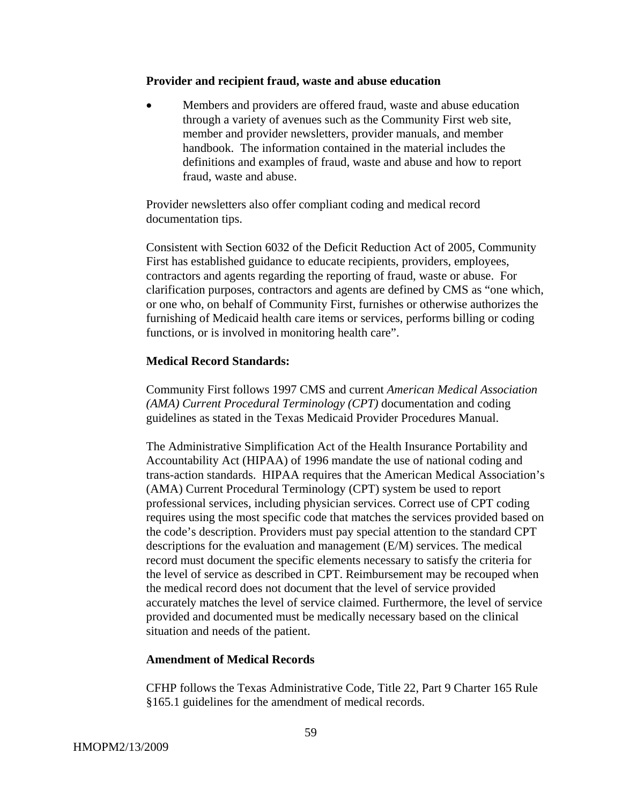#### **Provider and recipient fraud, waste and abuse education**

• Members and providers are offered fraud, waste and abuse education through a variety of avenues such as the Community First web site, member and provider newsletters, provider manuals, and member handbook. The information contained in the material includes the definitions and examples of fraud, waste and abuse and how to report fraud, waste and abuse.

Provider newsletters also offer compliant coding and medical record documentation tips.

Consistent with Section 6032 of the Deficit Reduction Act of 2005, Community First has established guidance to educate recipients, providers, employees, contractors and agents regarding the reporting of fraud, waste or abuse. For clarification purposes, contractors and agents are defined by CMS as "one which, or one who, on behalf of Community First, furnishes or otherwise authorizes the furnishing of Medicaid health care items or services, performs billing or coding functions, or is involved in monitoring health care".

#### **Medical Record Standards:**

Community First follows 1997 CMS and current *American Medical Association (AMA) Current Procedural Terminology (CPT)* documentation and coding guidelines as stated in the Texas Medicaid Provider Procedures Manual.

The Administrative Simplification Act of the Health Insurance Portability and Accountability Act (HIPAA) of 1996 mandate the use of national coding and trans-action standards. HIPAA requires that the American Medical Association's (AMA) Current Procedural Terminology (CPT) system be used to report professional services, including physician services. Correct use of CPT coding requires using the most specific code that matches the services provided based on the code's description. Providers must pay special attention to the standard CPT descriptions for the evaluation and management (E/M) services. The medical record must document the specific elements necessary to satisfy the criteria for the level of service as described in CPT. Reimbursement may be recouped when the medical record does not document that the level of service provided accurately matches the level of service claimed. Furthermore, the level of service provided and documented must be medically necessary based on the clinical situation and needs of the patient.

#### **Amendment of Medical Records**

CFHP follows the Texas Administrative Code, Title 22, Part 9 Charter 165 Rule §165.1 guidelines for the amendment of medical records.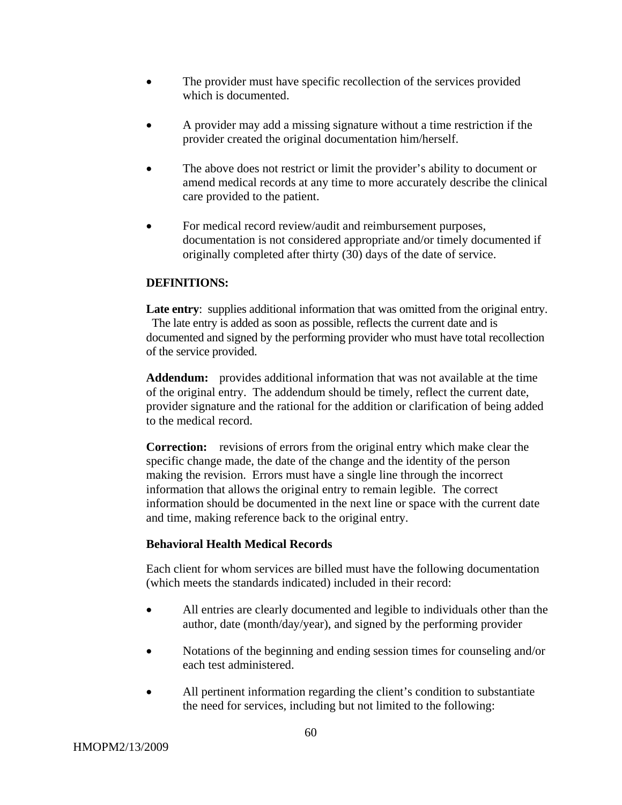- The provider must have specific recollection of the services provided which is documented.
- A provider may add a missing signature without a time restriction if the provider created the original documentation him/herself.
- The above does not restrict or limit the provider's ability to document or amend medical records at any time to more accurately describe the clinical care provided to the patient.
- For medical record review/audit and reimbursement purposes, documentation is not considered appropriate and/or timely documented if originally completed after thirty (30) days of the date of service.

# **DEFINITIONS:**

Late entry: supplies additional information that was omitted from the original entry. The late entry is added as soon as possible, reflects the current date and is documented and signed by the performing provider who must have total recollection of the service provided.

**Addendum:** provides additional information that was not available at the time of the original entry. The addendum should be timely, reflect the current date, provider signature and the rational for the addition or clarification of being added to the medical record.

**Correction:** revisions of errors from the original entry which make clear the specific change made, the date of the change and the identity of the person making the revision. Errors must have a single line through the incorrect information that allows the original entry to remain legible. The correct information should be documented in the next line or space with the current date and time, making reference back to the original entry.

# **Behavioral Health Medical Records**

Each client for whom services are billed must have the following documentation (which meets the standards indicated) included in their record:

- All entries are clearly documented and legible to individuals other than the author, date (month/day/year), and signed by the performing provider
- Notations of the beginning and ending session times for counseling and/or each test administered.
- All pertinent information regarding the client's condition to substantiate the need for services, including but not limited to the following: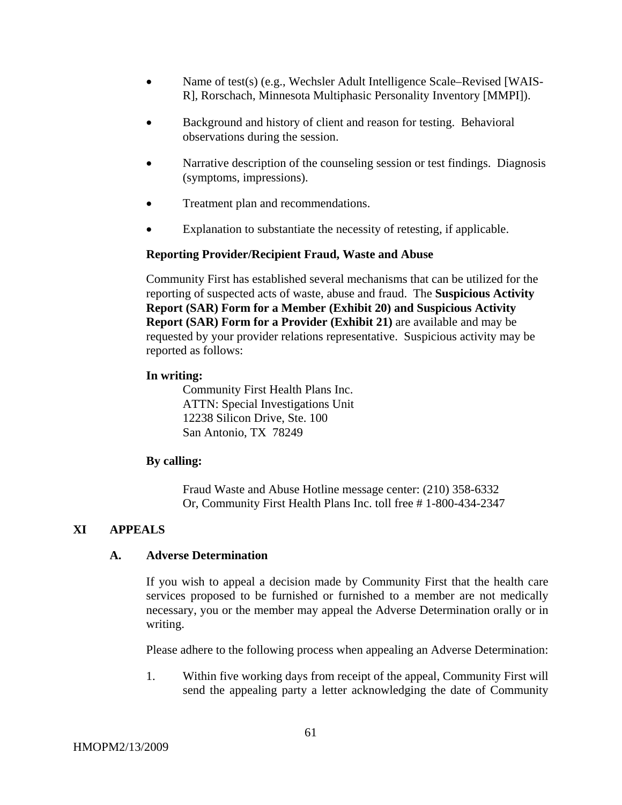- Name of test(s) (e.g., Wechsler Adult Intelligence Scale–Revised [WAIS-R], Rorschach, Minnesota Multiphasic Personality Inventory [MMPI]).
- Background and history of client and reason for testing. Behavioral observations during the session.
- Narrative description of the counseling session or test findings. Diagnosis (symptoms, impressions).
- Treatment plan and recommendations.
- Explanation to substantiate the necessity of retesting, if applicable.

#### **Reporting Provider/Recipient Fraud, Waste and Abuse**

Community First has established several mechanisms that can be utilized for the reporting of suspected acts of waste, abuse and fraud. The **Suspicious Activity Report (SAR) Form for a Member (Exhibit 20) and Suspicious Activity Report (SAR) Form for a Provider (Exhibit 21)** are available and may be requested by your provider relations representative. Suspicious activity may be reported as follows:

#### **In writing:**

 Community First Health Plans Inc. ATTN: Special Investigations Unit 12238 Silicon Drive, Ste. 100 San Antonio, TX 78249

#### **By calling:**

 Fraud Waste and Abuse Hotline message center: (210) 358-6332 Or, Community First Health Plans Inc. toll free # 1-800-434-2347

#### **XI APPEALS**

#### **A. Adverse Determination**

If you wish to appeal a decision made by Community First that the health care services proposed to be furnished or furnished to a member are not medically necessary, you or the member may appeal the Adverse Determination orally or in writing.

Please adhere to the following process when appealing an Adverse Determination:

1. Within five working days from receipt of the appeal, Community First will send the appealing party a letter acknowledging the date of Community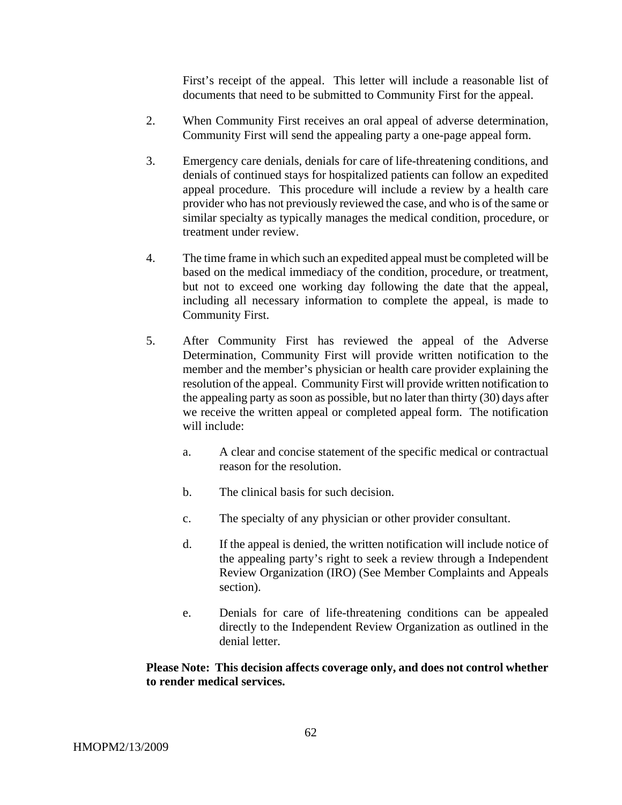First's receipt of the appeal. This letter will include a reasonable list of documents that need to be submitted to Community First for the appeal.

- 2. When Community First receives an oral appeal of adverse determination, Community First will send the appealing party a one-page appeal form.
- 3. Emergency care denials, denials for care of life-threatening conditions, and denials of continued stays for hospitalized patients can follow an expedited appeal procedure. This procedure will include a review by a health care provider who has not previously reviewed the case, and who is of the same or similar specialty as typically manages the medical condition, procedure, or treatment under review.
- 4. The time frame in which such an expedited appeal must be completed will be based on the medical immediacy of the condition, procedure, or treatment, but not to exceed one working day following the date that the appeal, including all necessary information to complete the appeal, is made to Community First.
- 5. After Community First has reviewed the appeal of the Adverse Determination, Community First will provide written notification to the member and the member's physician or health care provider explaining the resolution of the appeal. Community First will provide written notification to the appealing party as soon as possible, but no later than thirty (30) days after we receive the written appeal or completed appeal form. The notification will include:
	- a. A clear and concise statement of the specific medical or contractual reason for the resolution.
	- b. The clinical basis for such decision.
	- c. The specialty of any physician or other provider consultant.
	- d. If the appeal is denied, the written notification will include notice of the appealing party's right to seek a review through a Independent Review Organization (IRO) (See Member Complaints and Appeals section).
	- e. Denials for care of life-threatening conditions can be appealed directly to the Independent Review Organization as outlined in the denial letter.

### **Please Note: This decision affects coverage only, and does not control whether to render medical services.**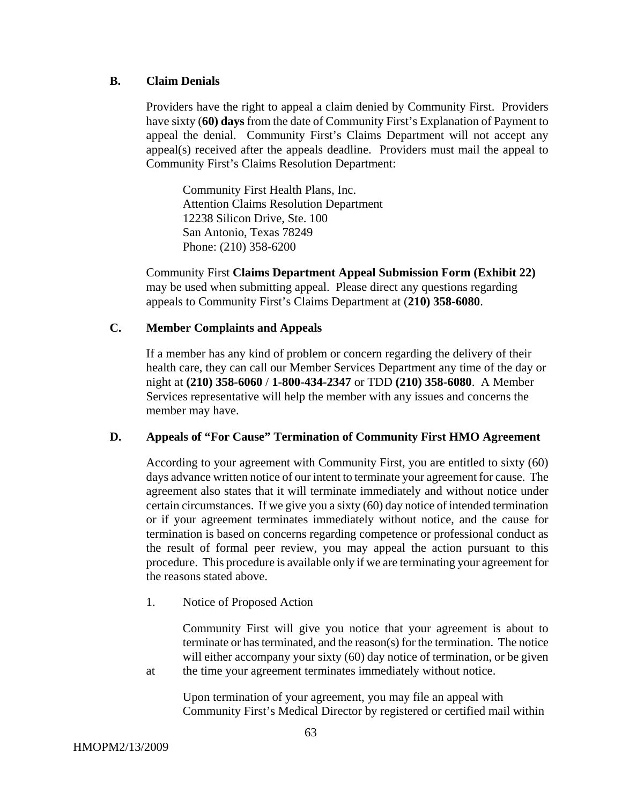#### **B. Claim Denials**

Providers have the right to appeal a claim denied by Community First. Providers have sixty (**60) days** from the date of Community First's Explanation of Payment to appeal the denial. Community First's Claims Department will not accept any appeal(s) received after the appeals deadline.Providers must mail the appeal to Community First's Claims Resolution Department:

 Community First Health Plans, Inc. Attention Claims Resolution Department 12238 Silicon Drive, Ste. 100 San Antonio, Texas 78249 Phone: (210) 358-6200

Community First **Claims Department Appeal Submission Form (Exhibit 22)** may be used when submitting appeal. Please direct any questions regarding appeals to Community First's Claims Department at (**210) 358-6080**.

#### **C. Member Complaints and Appeals**

If a member has any kind of problem or concern regarding the delivery of their health care, they can call our Member Services Department any time of the day or night at **(210) 358-6060** / **1-800-434-2347** or TDD **(210) 358-6080**. A Member Services representative will help the member with any issues and concerns the member may have.

#### **D. Appeals of "For Cause" Termination of Community First HMO Agreement**

According to your agreement with Community First, you are entitled to sixty (60) days advance written notice of our intent to terminate your agreement for cause. The agreement also states that it will terminate immediately and without notice under certain circumstances. If we give you a sixty (60) day notice of intended termination or if your agreement terminates immediately without notice, and the cause for termination is based on concerns regarding competence or professional conduct as the result of formal peer review, you may appeal the action pursuant to this procedure. This procedure is available only if we are terminating your agreement for the reasons stated above.

1. Notice of Proposed Action

 Community First will give you notice that your agreement is about to terminate or has terminated, and the reason(s) for the termination. The notice will either accompany your sixty (60) day notice of termination, or be given at the time your agreement terminates immediately without notice.

Upon termination of your agreement, you may file an appeal with Community First's Medical Director by registered or certified mail within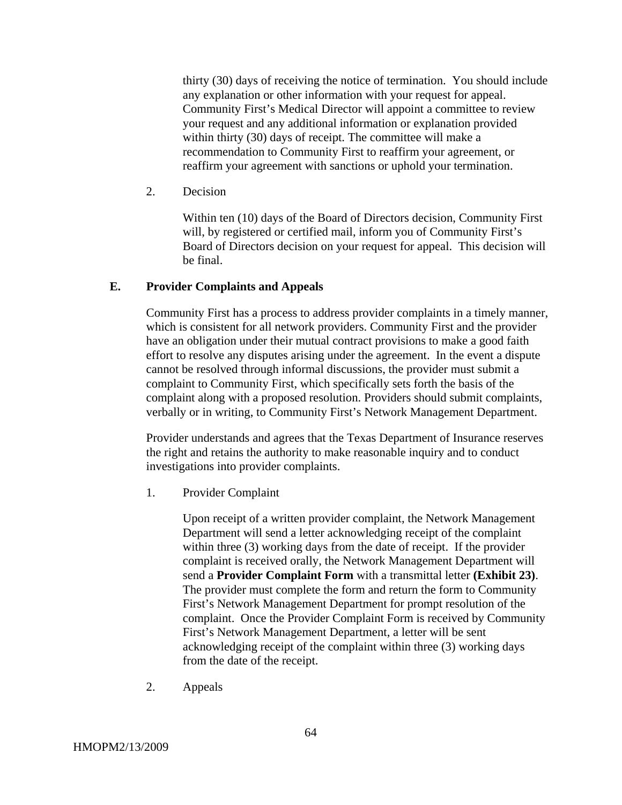thirty (30) days of receiving the notice of termination. You should include any explanation or other information with your request for appeal. Community First's Medical Director will appoint a committee to review your request and any additional information or explanation provided within thirty (30) days of receipt. The committee will make a recommendation to Community First to reaffirm your agreement, or reaffirm your agreement with sanctions or uphold your termination.

2. Decision

Within ten (10) days of the Board of Directors decision, Community First will, by registered or certified mail, inform you of Community First's Board of Directors decision on your request for appeal. This decision will be final.

#### **E. Provider Complaints and Appeals**

Community First has a process to address provider complaints in a timely manner, which is consistent for all network providers. Community First and the provider have an obligation under their mutual contract provisions to make a good faith effort to resolve any disputes arising under the agreement. In the event a dispute cannot be resolved through informal discussions, the provider must submit a complaint to Community First, which specifically sets forth the basis of the complaint along with a proposed resolution. Providers should submit complaints, verbally or in writing, to Community First's Network Management Department.

Provider understands and agrees that the Texas Department of Insurance reserves the right and retains the authority to make reasonable inquiry and to conduct investigations into provider complaints.

1. Provider Complaint

Upon receipt of a written provider complaint, the Network Management Department will send a letter acknowledging receipt of the complaint within three (3) working days from the date of receipt. If the provider complaint is received orally, the Network Management Department will send a **Provider Complaint Form** with a transmittal letter **(Exhibit 23)**. The provider must complete the form and return the form to Community First's Network Management Department for prompt resolution of the complaint. Once the Provider Complaint Form is received by Community First's Network Management Department, a letter will be sent acknowledging receipt of the complaint within three (3) working days from the date of the receipt.

2. Appeals